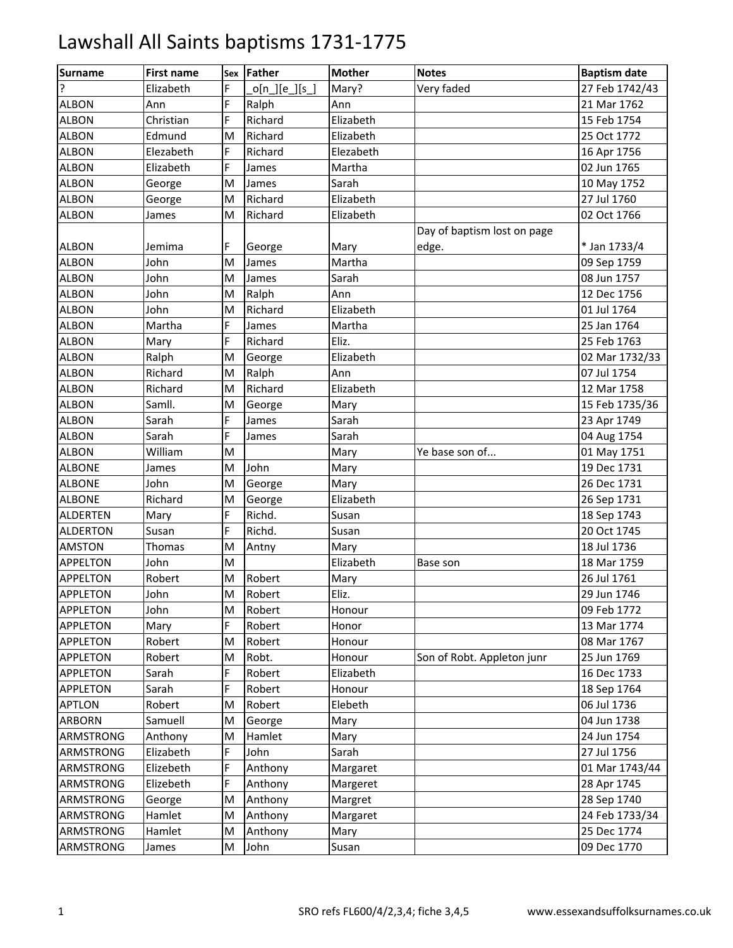| <b>Surname</b>   | <b>First name</b> |    | Sex Father     | <b>Mother</b> | <b>Notes</b>                | <b>Baptism date</b> |
|------------------|-------------------|----|----------------|---------------|-----------------------------|---------------------|
| ?                | Elizabeth         | F  | [o[n]][e]][s]] | Mary?         | Very faded                  | 27 Feb 1742/43      |
| <b>ALBON</b>     | Ann               | F  | Ralph          | Ann           |                             | 21 Mar 1762         |
| <b>ALBON</b>     | Christian         | F  | Richard        | Elizabeth     |                             | 15 Feb 1754         |
| <b>ALBON</b>     | Edmund            | M  | Richard        | Elizabeth     |                             | 25 Oct 1772         |
| <b>ALBON</b>     | Elezabeth         | F  | Richard        | Elezabeth     |                             | 16 Apr 1756         |
| <b>ALBON</b>     | Elizabeth         | F  | James          | Martha        |                             | 02 Jun 1765         |
| <b>ALBON</b>     | George            | M  | James          | Sarah         |                             | 10 May 1752         |
| <b>ALBON</b>     | George            | M  | Richard        | Elizabeth     |                             | 27 Jul 1760         |
| <b>ALBON</b>     | James             | M  | Richard        | Elizabeth     |                             | 02 Oct 1766         |
|                  |                   |    |                |               | Day of baptism lost on page |                     |
| <b>ALBON</b>     | Jemima            | F  | George         | Mary          | edge.                       | * Jan 1733/4        |
| <b>ALBON</b>     | John              | M  | James          | Martha        |                             | 09 Sep 1759         |
| <b>ALBON</b>     | John              | M  | James          | Sarah         |                             | 08 Jun 1757         |
| <b>ALBON</b>     | John              | M  | Ralph          | Ann           |                             | 12 Dec 1756         |
| <b>ALBON</b>     | John              | M  | Richard        | Elizabeth     |                             | 01 Jul 1764         |
| <b>ALBON</b>     | Martha            | F  | James          | Martha        |                             | 25 Jan 1764         |
| <b>ALBON</b>     | Mary              | F  | Richard        | Eliz.         |                             | 25 Feb 1763         |
| <b>ALBON</b>     | Ralph             | M  | George         | Elizabeth     |                             | 02 Mar 1732/33      |
| <b>ALBON</b>     | Richard           | M  | Ralph          | Ann           |                             | 07 Jul 1754         |
| <b>ALBON</b>     | Richard           | M  | Richard        | Elizabeth     |                             | 12 Mar 1758         |
| <b>ALBON</b>     | Samll.            | M  | George         | Mary          |                             | 15 Feb 1735/36      |
| <b>ALBON</b>     | Sarah             | F  | James          | Sarah         |                             | 23 Apr 1749         |
| <b>ALBON</b>     | Sarah             | F  | James          | Sarah         |                             | 04 Aug 1754         |
| <b>ALBON</b>     | William           | M  |                | Mary          | Ye base son of              | 01 May 1751         |
| <b>ALBONE</b>    | James             | M  | John           | Mary          |                             | 19 Dec 1731         |
| <b>ALBONE</b>    | John              | M  | George         | Mary          |                             | 26 Dec 1731         |
| <b>ALBONE</b>    | Richard           | M  | George         | Elizabeth     |                             | 26 Sep 1731         |
| <b>ALDERTEN</b>  | Mary              | F  | Richd.         | Susan         |                             | 18 Sep 1743         |
| <b>ALDERTON</b>  | Susan             | F  | Richd.         | Susan         |                             | 20 Oct 1745         |
| <b>AMSTON</b>    | Thomas            | M  | Antny          | Mary          |                             | 18 Jul 1736         |
| <b>APPELTON</b>  | John              | M  |                | Elizabeth     | Base son                    | 18 Mar 1759         |
| <b>APPELTON</b>  | Robert            | M  | Robert         | Mary          |                             | 26 Jul 1761         |
| <b>APPLETON</b>  | John              | M  | Robert         | Eliz.         |                             | 29 Jun 1746         |
| <b>APPLETON</b>  | John              | M  | Robert         | Honour        |                             | 09 Feb 1772         |
| <b>APPLETON</b>  | Mary              | F  | Robert         | Honor         |                             | 13 Mar 1774         |
| <b>APPLETON</b>  | Robert            | M  | Robert         | Honour        |                             | 08 Mar 1767         |
| <b>APPLETON</b>  | Robert            | M  | Robt.          | Honour        | Son of Robt. Appleton junr  | 25 Jun 1769         |
| <b>APPLETON</b>  | Sarah             | F  | Robert         | Elizabeth     |                             | 16 Dec 1733         |
| <b>APPLETON</b>  | Sarah             | F  | Robert         | Honour        |                             | 18 Sep 1764         |
| <b>APTLON</b>    | Robert            | M  | Robert         | Elebeth       |                             | 06 Jul 1736         |
| <b>ARBORN</b>    | Samuell           | M  | George         | Mary          |                             | 04 Jun 1738         |
| ARMSTRONG        | Anthony           | M  | Hamlet         | Mary          |                             | 24 Jun 1754         |
| <b>ARMSTRONG</b> | Elizabeth         | F  | John           | Sarah         |                             | 27 Jul 1756         |
| ARMSTRONG        | Elizebeth         | F  | Anthony        | Margaret      |                             | 01 Mar 1743/44      |
| ARMSTRONG        | Elizebeth         | F. | Anthony        | Margeret      |                             | 28 Apr 1745         |
| ARMSTRONG        | George            | M  | Anthony        | Margret       |                             | 28 Sep 1740         |
| ARMSTRONG        | Hamlet            | M  | Anthony        | Margaret      |                             | 24 Feb 1733/34      |
| ARMSTRONG        | Hamlet            | M  | Anthony        | Mary          |                             | 25 Dec 1774         |
| ARMSTRONG        | James             | М  | John           | Susan         |                             | 09 Dec 1770         |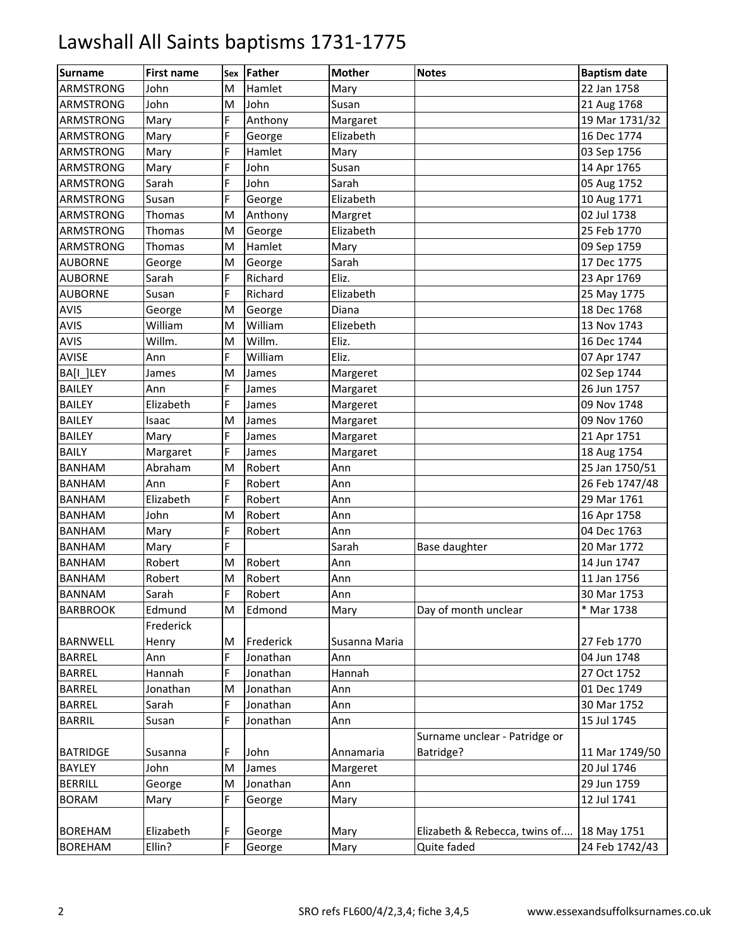| <b>Surname</b>   | <b>First name</b> | Sex | Father    | <b>Mother</b> | <b>Notes</b>                  | <b>Baptism date</b> |
|------------------|-------------------|-----|-----------|---------------|-------------------------------|---------------------|
| <b>ARMSTRONG</b> | John              | M   | Hamlet    | Mary          |                               | 22 Jan 1758         |
| <b>ARMSTRONG</b> | John              | M   | John      | Susan         |                               | 21 Aug 1768         |
| ARMSTRONG        | Mary              | F   | Anthony   | Margaret      |                               | 19 Mar 1731/32      |
| ARMSTRONG        | Mary              | F   | George    | Elizabeth     |                               | 16 Dec 1774         |
| <b>ARMSTRONG</b> | Mary              | F   | Hamlet    | Mary          |                               | 03 Sep 1756         |
| <b>ARMSTRONG</b> | Mary              | F.  | John      | Susan         |                               | 14 Apr 1765         |
| ARMSTRONG        | Sarah             | F   | John      | Sarah         |                               | 05 Aug 1752         |
| ARMSTRONG        | Susan             | F   | George    | Elizabeth     |                               | 10 Aug 1771         |
| ARMSTRONG        | Thomas            | M   | Anthony   | Margret       |                               | 02 Jul 1738         |
| <b>ARMSTRONG</b> | Thomas            | M   | George    | Elizabeth     |                               | 25 Feb 1770         |
| <b>ARMSTRONG</b> | Thomas            | M   | Hamlet    | Mary          |                               | 09 Sep 1759         |
| <b>AUBORNE</b>   | George            | M   | George    | Sarah         |                               | 17 Dec 1775         |
| <b>AUBORNE</b>   | Sarah             | F   | Richard   | Eliz.         |                               | 23 Apr 1769         |
| <b>AUBORNE</b>   | Susan             | F   | Richard   | Elizabeth     |                               | 25 May 1775         |
| <b>AVIS</b>      | George            | M   | George    | Diana         |                               | 18 Dec 1768         |
| AVIS             | William           | M   | William   | Elizebeth     |                               | 13 Nov 1743         |
| AVIS             | Willm.            | M   | Willm.    | Eliz.         |                               | 16 Dec 1744         |
| <b>AVISE</b>     | Ann               | F   | William   | Eliz.         |                               | 07 Apr 1747         |
| BA[I_]LEY        | James             | M   | James     | Margeret      |                               | 02 Sep 1744         |
| <b>BAILEY</b>    | Ann               | F.  | James     | Margaret      |                               | 26 Jun 1757         |
| <b>BAILEY</b>    | Elizabeth         | F.  | James     | Margeret      |                               | 09 Nov 1748         |
| <b>BAILEY</b>    | Isaac             | M   | James     | Margaret      |                               | 09 Nov 1760         |
| <b>BAILEY</b>    | Mary              | F   | James     | Margaret      |                               | 21 Apr 1751         |
| <b>BAILY</b>     | Margaret          | F   | James     | Margaret      |                               | 18 Aug 1754         |
| <b>BANHAM</b>    | Abraham           | M   | Robert    | Ann           |                               | 25 Jan 1750/51      |
| <b>BANHAM</b>    | Ann               | F   | Robert    | Ann           |                               | 26 Feb 1747/48      |
| <b>BANHAM</b>    | Elizabeth         | F   | Robert    | Ann           |                               | 29 Mar 1761         |
| <b>BANHAM</b>    | John              | M   | Robert    | Ann           |                               | 16 Apr 1758         |
| <b>BANHAM</b>    | Mary              | F.  | Robert    | Ann           |                               | 04 Dec 1763         |
| <b>BANHAM</b>    | Mary              | F   |           | Sarah         | Base daughter                 | 20 Mar 1772         |
| <b>BANHAM</b>    | Robert            | M   | Robert    | Ann           |                               | 14 Jun 1747         |
| <b>BANHAM</b>    | Robert            | M   | Robert    | Ann           |                               | 11 Jan 1756         |
| <b>BANNAM</b>    | Sarah             | F   | Robert    | Ann           |                               | 30 Mar 1753         |
| <b>BARBROOK</b>  | Edmund            | M   | Edmond    | Mary          | Day of month unclear          | * Mar 1738          |
|                  | Frederick         |     |           |               |                               |                     |
| <b>BARNWELL</b>  | Henry             | Μ   | Frederick | Susanna Maria |                               | 27 Feb 1770         |
| <b>BARREL</b>    | Ann               | F   | Jonathan  | Ann           |                               | 04 Jun 1748         |
| <b>BARREL</b>    | Hannah            | F   | Jonathan  | Hannah        |                               | 27 Oct 1752         |
| <b>BARREL</b>    | Jonathan          | M   | Jonathan  | Ann           |                               | 01 Dec 1749         |
| <b>BARREL</b>    | Sarah             | F.  | Jonathan  | Ann           |                               | 30 Mar 1752         |
| <b>BARRIL</b>    | Susan             | F   | Jonathan  | Ann           |                               | 15 Jul 1745         |
|                  |                   |     |           |               | Surname unclear - Patridge or |                     |
| <b>BATRIDGE</b>  | Susanna           | F.  | John      | Annamaria     | Batridge?                     | 11 Mar 1749/50      |
| <b>BAYLEY</b>    | John              | M   | James     | Margeret      |                               | 20 Jul 1746         |
| <b>BERRILL</b>   | George            | M   | Jonathan  | Ann           |                               | 29 Jun 1759         |
| <b>BORAM</b>     | Mary              | F   | George    | Mary          |                               | 12 Jul 1741         |
|                  |                   |     |           |               |                               |                     |
| <b>BOREHAM</b>   | Elizabeth         | F.  | George    | Mary          | Elizabeth & Rebecca, twins of | 18 May 1751         |
| <b>BOREHAM</b>   | Ellin?            | F   | George    | Mary          | Quite faded                   | 24 Feb 1742/43      |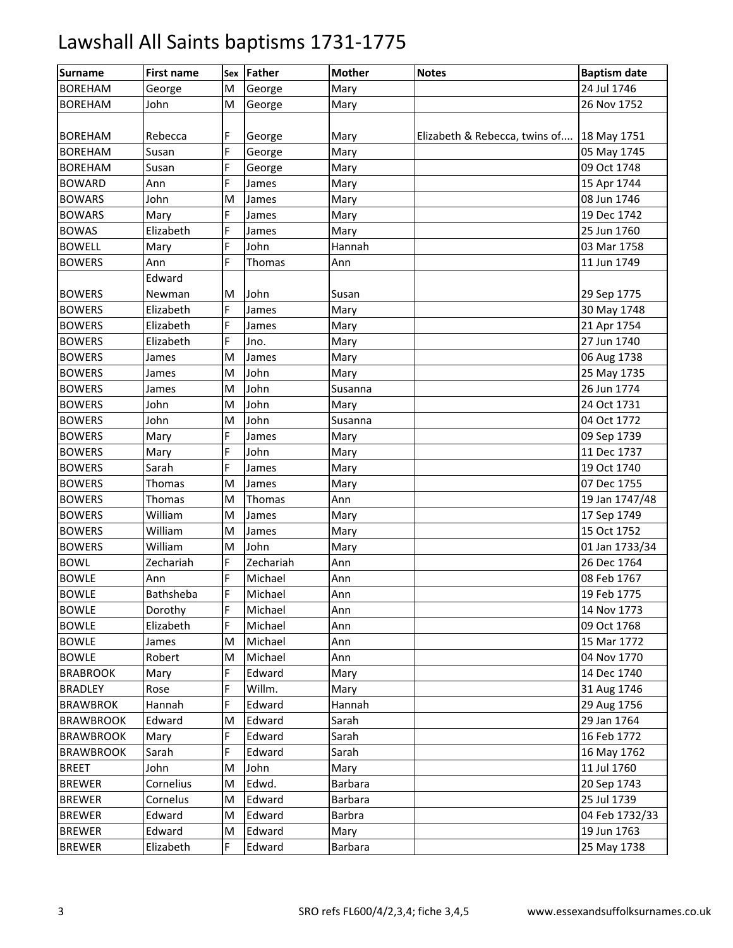| <b>Surname</b>   | <b>First name</b> |   | Sex Father | <b>Mother</b> | <b>Notes</b>                              | <b>Baptism date</b> |
|------------------|-------------------|---|------------|---------------|-------------------------------------------|---------------------|
| <b>BOREHAM</b>   | George            | M | George     | Mary          |                                           | 24 Jul 1746         |
| <b>BOREHAM</b>   | John              | M | George     | Mary          |                                           | 26 Nov 1752         |
|                  |                   |   |            |               |                                           |                     |
| <b>BOREHAM</b>   | Rebecca           | F | George     | Mary          | Elizabeth & Rebecca, twins of 18 May 1751 |                     |
| <b>BOREHAM</b>   | Susan             | F | George     | Mary          |                                           | 05 May 1745         |
| <b>BOREHAM</b>   | Susan             | F | George     | Mary          |                                           | 09 Oct 1748         |
| <b>BOWARD</b>    | Ann               | F | James      | Mary          |                                           | 15 Apr 1744         |
| <b>BOWARS</b>    | John              | M | James      | Mary          |                                           | 08 Jun 1746         |
| <b>BOWARS</b>    | Mary              | F | James      | Mary          |                                           | 19 Dec 1742         |
| <b>BOWAS</b>     | Elizabeth         | F | James      | Mary          |                                           | 25 Jun 1760         |
| <b>BOWELL</b>    | Mary              | F | John       | Hannah        |                                           | 03 Mar 1758         |
| <b>BOWERS</b>    | Ann               | F | Thomas     | Ann           |                                           | 11 Jun 1749         |
|                  | Edward            |   |            |               |                                           |                     |
| <b>BOWERS</b>    | Newman            | M | John       | Susan         |                                           | 29 Sep 1775         |
| <b>BOWERS</b>    | Elizabeth         | F | James      | Mary          |                                           | 30 May 1748         |
| <b>BOWERS</b>    | Elizabeth         | F | James      | Mary          |                                           | 21 Apr 1754         |
| <b>BOWERS</b>    | Elizabeth         | F | Jno.       | Mary          |                                           | 27 Jun 1740         |
| <b>BOWERS</b>    | James             | M | James      | Mary          |                                           | 06 Aug 1738         |
| <b>BOWERS</b>    | James             | M | John       | Mary          |                                           | 25 May 1735         |
| <b>BOWERS</b>    | James             | M | John       | Susanna       |                                           | 26 Jun 1774         |
| <b>BOWERS</b>    | John              | M | John       | Mary          |                                           | 24 Oct 1731         |
| <b>BOWERS</b>    | John              | M | John       | Susanna       |                                           | 04 Oct 1772         |
| <b>BOWERS</b>    | Mary              | F | James      | Mary          |                                           | 09 Sep 1739         |
| <b>BOWERS</b>    | Mary              | F | John       | Mary          |                                           | 11 Dec 1737         |
| <b>BOWERS</b>    | Sarah             | F | James      | Mary          |                                           | 19 Oct 1740         |
| <b>BOWERS</b>    | Thomas            | M | James      | Mary          |                                           | 07 Dec 1755         |
| <b>BOWERS</b>    | Thomas            | M | Thomas     | Ann           |                                           | 19 Jan 1747/48      |
| <b>BOWERS</b>    | William           | M | James      | Mary          |                                           | 17 Sep 1749         |
| <b>BOWERS</b>    | William           | M | James      | Mary          |                                           | 15 Oct 1752         |
| <b>BOWERS</b>    | William           | M | John       | Mary          |                                           | 01 Jan 1733/34      |
| <b>BOWL</b>      | Zechariah         | F | Zechariah  | Ann           |                                           | 26 Dec 1764         |
| <b>BOWLE</b>     | Ann               | F | Michael    | Ann           |                                           | 08 Feb 1767         |
| <b>BOWLE</b>     | Bathsheba         | F | Michael    | Ann           |                                           | 19 Feb 1775         |
| <b>BOWLE</b>     | Dorothy           | F | Michael    | Ann           |                                           | 14 Nov 1773         |
| <b>BOWLE</b>     | Elizabeth         | F | Michael    | Ann           |                                           | 09 Oct 1768         |
| <b>BOWLE</b>     | James             | M | Michael    | Ann           |                                           | 15 Mar 1772         |
| <b>BOWLE</b>     | Robert            | M | Michael    | Ann           |                                           | 04 Nov 1770         |
| <b>BRABROOK</b>  | Mary              | F | Edward     | Mary          |                                           | 14 Dec 1740         |
| <b>BRADLEY</b>   | Rose              | F | Willm.     | Mary          |                                           | 31 Aug 1746         |
| <b>BRAWBROK</b>  | Hannah            | F | Edward     | Hannah        |                                           | 29 Aug 1756         |
| <b>BRAWBROOK</b> | Edward            | M | Edward     | Sarah         |                                           | 29 Jan 1764         |
| <b>BRAWBROOK</b> | Mary              | F | Edward     | Sarah         |                                           | 16 Feb 1772         |
| <b>BRAWBROOK</b> | Sarah             | F | Edward     | Sarah         |                                           | 16 May 1762         |
| <b>BREET</b>     | John              | M | John       | Mary          |                                           | 11 Jul 1760         |
| <b>BREWER</b>    | Cornelius         | M | Edwd.      | Barbara       |                                           | 20 Sep 1743         |
| <b>BREWER</b>    | Cornelus          | M | Edward     | Barbara       |                                           | 25 Jul 1739         |
| <b>BREWER</b>    | Edward            | M | Edward     | Barbra        |                                           | 04 Feb 1732/33      |
| <b>BREWER</b>    | Edward            | M | Edward     | Mary          |                                           | 19 Jun 1763         |
| <b>BREWER</b>    | Elizabeth         | F | Edward     | Barbara       |                                           | 25 May 1738         |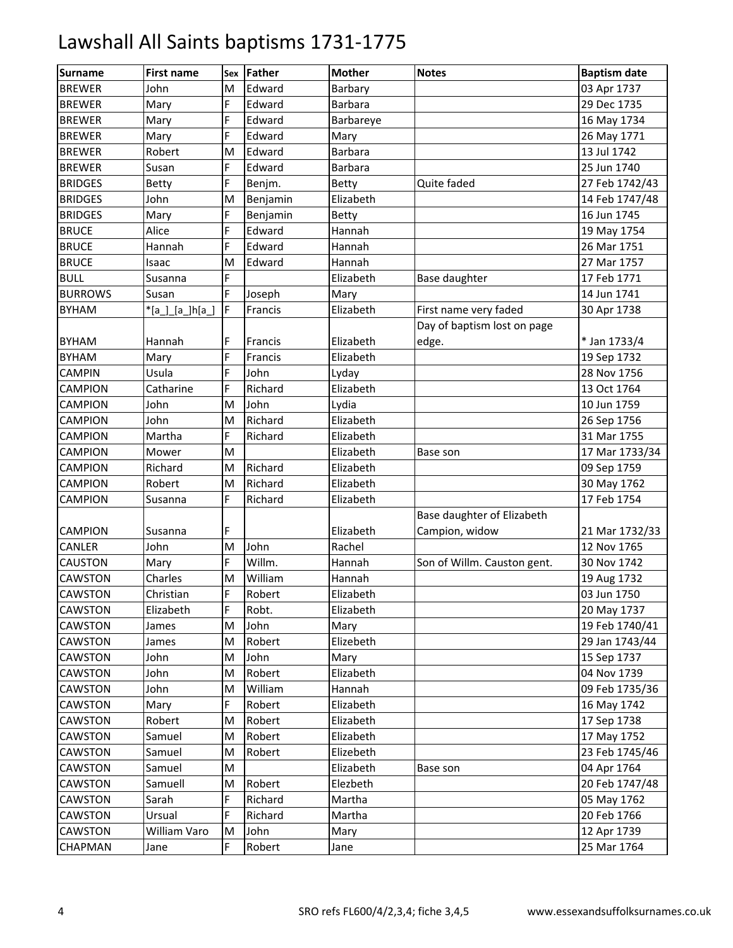| <b>Surname</b> | <b>First name</b>          | Sex | Father   | <b>Mother</b>  | <b>Notes</b>                | <b>Baptism date</b> |
|----------------|----------------------------|-----|----------|----------------|-----------------------------|---------------------|
| <b>BREWER</b>  | John                       | M   | Edward   | Barbary        |                             | 03 Apr 1737         |
| <b>BREWER</b>  | Mary                       | F   | Edward   | <b>Barbara</b> |                             | 29 Dec 1735         |
| <b>BREWER</b>  | Mary                       | F   | Edward   | Barbareye      |                             | 16 May 1734         |
| <b>BREWER</b>  | Mary                       | F   | Edward   | Mary           |                             | 26 May 1771         |
| <b>BREWER</b>  | Robert                     | M   | Edward   | <b>Barbara</b> |                             | 13 Jul 1742         |
| <b>BREWER</b>  | Susan                      | F   | Edward   | <b>Barbara</b> |                             | 25 Jun 1740         |
| <b>BRIDGES</b> | <b>Betty</b>               | F   | Benjm.   | <b>Betty</b>   | Quite faded                 | 27 Feb 1742/43      |
| <b>BRIDGES</b> | John                       | M   | Benjamin | Elizabeth      |                             | 14 Feb 1747/48      |
| <b>BRIDGES</b> | Mary                       | F   | Benjamin | <b>Betty</b>   |                             | 16 Jun 1745         |
| <b>BRUCE</b>   | Alice                      | F   | Edward   | Hannah         |                             | 19 May 1754         |
| <b>BRUCE</b>   | Hannah                     | F   | Edward   | Hannah         |                             | 26 Mar 1751         |
| <b>BRUCE</b>   | Isaac                      | M   | Edward   | Hannah         |                             | 27 Mar 1757         |
| <b>BULL</b>    | Susanna                    | F   |          | Elizabeth      | Base daughter               | 17 Feb 1771         |
| <b>BURROWS</b> | Susan                      | F   | Joseph   | Mary           |                             | 14 Jun 1741         |
| <b>BYHAM</b>   | $*[a]_{a}]$ = $[a_1h[a_2]$ | F   | Francis  | Elizabeth      | First name very faded       | 30 Apr 1738         |
|                |                            |     |          |                | Day of baptism lost on page |                     |
| <b>BYHAM</b>   | Hannah                     | F   | Francis  | Elizabeth      | edge.                       | * Jan 1733/4        |
| <b>BYHAM</b>   | Mary                       | F   | Francis  | Elizabeth      |                             | 19 Sep 1732         |
| <b>CAMPIN</b>  | Usula                      | F   | John     | Lyday          |                             | 28 Nov 1756         |
| <b>CAMPION</b> | Catharine                  | F   | Richard  | Elizabeth      |                             | 13 Oct 1764         |
| <b>CAMPION</b> | John                       | M   | John     | Lydia          |                             | 10 Jun 1759         |
| <b>CAMPION</b> | John                       | M   | Richard  | Elizabeth      |                             | 26 Sep 1756         |
| <b>CAMPION</b> | Martha                     | F   | Richard  | Elizabeth      |                             | 31 Mar 1755         |
| <b>CAMPION</b> | Mower                      | M   |          | Elizabeth      | Base son                    | 17 Mar 1733/34      |
| <b>CAMPION</b> | Richard                    | M   | Richard  | Elizabeth      |                             | 09 Sep 1759         |
| <b>CAMPION</b> | Robert                     | M   | Richard  | Elizabeth      |                             | 30 May 1762         |
| <b>CAMPION</b> | Susanna                    | F   | Richard  | Elizabeth      |                             | 17 Feb 1754         |
|                |                            |     |          |                | Base daughter of Elizabeth  |                     |
| <b>CAMPION</b> | Susanna                    | F   |          | Elizabeth      | Campion, widow              | 21 Mar 1732/33      |
| <b>CANLER</b>  | John                       | M   | John     | Rachel         |                             | 12 Nov 1765         |
| CAUSTON        | Mary                       | F   | Willm.   | Hannah         | Son of Willm. Causton gent. | 30 Nov 1742         |
| CAWSTON        | Charles                    | M   | William  | Hannah         |                             | 19 Aug 1732         |
| <b>CAWSTON</b> | Christian                  | F   | Robert   | Elizabeth      |                             | 03 Jun 1750         |
| <b>CAWSTON</b> | Elizabeth                  | F   | Robt.    | Elizabeth      |                             | 20 May 1737         |
| CAWSTON        | James                      | M   | John     | Mary           |                             | 19 Feb 1740/41      |
| <b>CAWSTON</b> | James                      | M   | Robert   | Elizebeth      |                             | 29 Jan 1743/44      |
| <b>CAWSTON</b> | John                       | M   | John     | Mary           |                             | 15 Sep 1737         |
| <b>CAWSTON</b> | John                       | м   | Robert   | Elizabeth      |                             | 04 Nov 1739         |
| CAWSTON        | John                       | M   | William  | Hannah         |                             | 09 Feb 1735/36      |
| CAWSTON        | Mary                       | F.  | Robert   | Elizabeth      |                             | 16 May 1742         |
| CAWSTON        | Robert                     | M   | Robert   | Elizabeth      |                             | 17 Sep 1738         |
| CAWSTON        | Samuel                     | M   | Robert   | Elizabeth      |                             | 17 May 1752         |
| CAWSTON        | Samuel                     | M   | Robert   | Elizebeth      |                             | 23 Feb 1745/46      |
| <b>CAWSTON</b> | Samuel                     | M   |          | Elizabeth      | Base son                    | 04 Apr 1764         |
| CAWSTON        | Samuell                    | M   | Robert   | Elezbeth       |                             | 20 Feb 1747/48      |
| CAWSTON        | Sarah                      | F   | Richard  | Martha         |                             | 05 May 1762         |
| CAWSTON        | Ursual                     | F   | Richard  | Martha         |                             | 20 Feb 1766         |
| CAWSTON        | William Varo               | M   | John     | Mary           |                             | 12 Apr 1739         |
| CHAPMAN        | Jane                       | F   | Robert   | Jane           |                             | 25 Mar 1764         |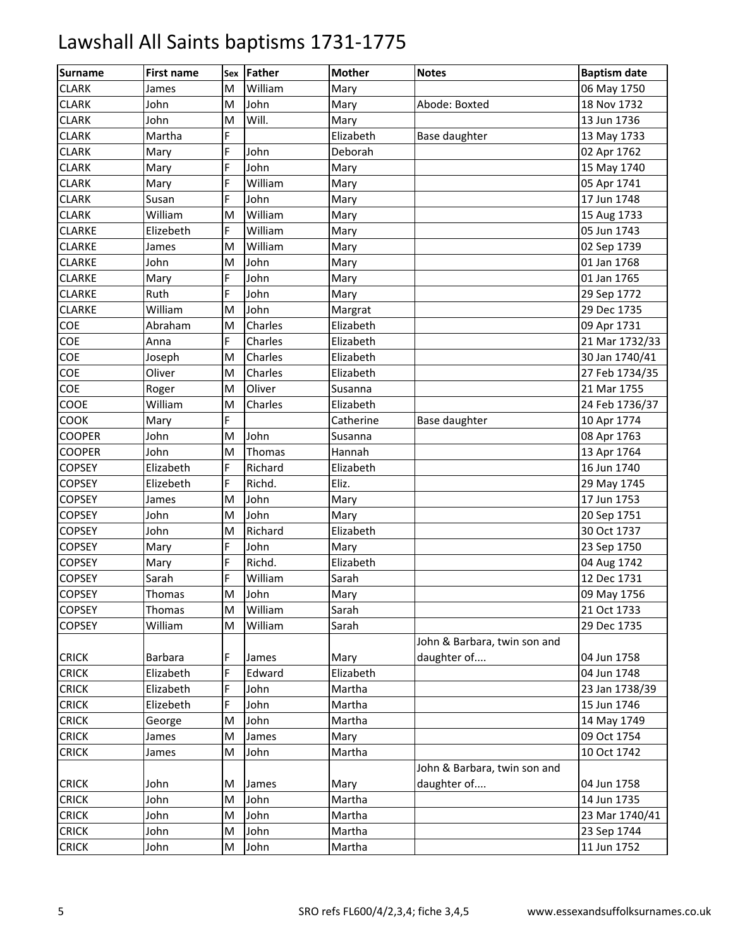| Surname       | <b>First name</b> | Sex | <b>Father</b> | <b>Mother</b> | <b>Notes</b>                                | <b>Baptism date</b> |
|---------------|-------------------|-----|---------------|---------------|---------------------------------------------|---------------------|
| <b>CLARK</b>  | James             | M   | William       | Mary          |                                             | 06 May 1750         |
| <b>CLARK</b>  | John              | M   | John          | Mary          | Abode: Boxted                               | 18 Nov 1732         |
| <b>CLARK</b>  | John              | M   | Will.         | Mary          |                                             | 13 Jun 1736         |
| <b>CLARK</b>  | Martha            | F   |               | Elizabeth     | Base daughter                               | 13 May 1733         |
| <b>CLARK</b>  | Mary              | F   | John          | Deborah       |                                             | 02 Apr 1762         |
| <b>CLARK</b>  | Mary              | F   | John          | Mary          |                                             | 15 May 1740         |
| <b>CLARK</b>  | Mary              | F   | William       | Mary          |                                             | 05 Apr 1741         |
| <b>CLARK</b>  | Susan             | F   | John          | Mary          |                                             | 17 Jun 1748         |
| <b>CLARK</b>  | William           | M   | William       | Mary          |                                             | 15 Aug 1733         |
| <b>CLARKE</b> | Elizebeth         | F   | William       | Mary          |                                             | 05 Jun 1743         |
| <b>CLARKE</b> | James             | M   | William       | Mary          |                                             | 02 Sep 1739         |
| <b>CLARKE</b> | John              | M   | John          | Mary          |                                             | 01 Jan 1768         |
| <b>CLARKE</b> | Mary              | F   | John          | Mary          |                                             | 01 Jan 1765         |
| <b>CLARKE</b> | Ruth              | F   | John          | Mary          |                                             | 29 Sep 1772         |
| <b>CLARKE</b> | William           | M   | John          | Margrat       |                                             | 29 Dec 1735         |
| COE           | Abraham           | M   | Charles       | Elizabeth     |                                             | 09 Apr 1731         |
| COE           | Anna              | F   | Charles       | Elizabeth     |                                             | 21 Mar 1732/33      |
| COE           | Joseph            | M   | Charles       | Elizabeth     |                                             | 30 Jan 1740/41      |
| COE           | Oliver            | M   | Charles       | Elizabeth     |                                             | 27 Feb 1734/35      |
| COE           | Roger             | M   | Oliver        | Susanna       |                                             | 21 Mar 1755         |
| COOE          | William           | M   | Charles       | Elizabeth     |                                             | 24 Feb 1736/37      |
| COOK          | Mary              | F   |               | Catherine     | Base daughter                               | 10 Apr 1774         |
| <b>COOPER</b> | John              | M   | John          | Susanna       |                                             | 08 Apr 1763         |
| <b>COOPER</b> | John              | M   | Thomas        | Hannah        |                                             | 13 Apr 1764         |
| <b>COPSEY</b> | Elizabeth         | F   | Richard       | Elizabeth     |                                             | 16 Jun 1740         |
| <b>COPSEY</b> | Elizebeth         | F   | Richd.        | Eliz.         |                                             | 29 May 1745         |
| <b>COPSEY</b> | James             | M   | John          | Mary          |                                             | 17 Jun 1753         |
| <b>COPSEY</b> | John              | M   | John          | Mary          |                                             | 20 Sep 1751         |
| <b>COPSEY</b> | John              | M   | Richard       | Elizabeth     |                                             | 30 Oct 1737         |
| <b>COPSEY</b> | Mary              | F   | John          | Mary          |                                             | 23 Sep 1750         |
| <b>COPSEY</b> | Mary              | F   | Richd.        | Elizabeth     |                                             | 04 Aug 1742         |
| <b>COPSEY</b> | Sarah             | F   | William       | Sarah         |                                             | 12 Dec 1731         |
| <b>COPSEY</b> | Thomas            | M   | John          | Mary          |                                             | 09 May 1756         |
| <b>COPSEY</b> | Thomas            | M   | William       | Sarah         |                                             | 21 Oct 1733         |
| <b>COPSEY</b> | William           | M   | William       | Sarah         |                                             | 29 Dec 1735         |
|               |                   |     |               |               | John & Barbara, twin son and                |                     |
| <b>CRICK</b>  | <b>Barbara</b>    | F   | James         | Mary          | daughter of                                 | 04 Jun 1758         |
| <b>CRICK</b>  | Elizabeth         | F   | Edward        | Elizabeth     |                                             | 04 Jun 1748         |
| <b>CRICK</b>  | Elizabeth         | F   | John          | Martha        |                                             | 23 Jan 1738/39      |
| <b>CRICK</b>  | Elizebeth         | F   | John          | Martha        |                                             | 15 Jun 1746         |
| <b>CRICK</b>  | George            | M   | John          | Martha        |                                             | 14 May 1749         |
| <b>CRICK</b>  | James             | M   | James         | Mary          |                                             | 09 Oct 1754         |
| <b>CRICK</b>  | James             | M   | John          | Martha        |                                             | 10 Oct 1742         |
| <b>CRICK</b>  | John              | M   | James         | Mary          | John & Barbara, twin son and<br>daughter of | 04 Jun 1758         |
| <b>CRICK</b>  | John              | M   | John          | Martha        |                                             | 14 Jun 1735         |
| <b>CRICK</b>  | John              | M   | John          | Martha        |                                             | 23 Mar 1740/41      |
| <b>CRICK</b>  | John              | M   | John          | Martha        |                                             | 23 Sep 1744         |
| <b>CRICK</b>  | John              | M   | John          | Martha        |                                             | 11 Jun 1752         |
|               |                   |     |               |               |                                             |                     |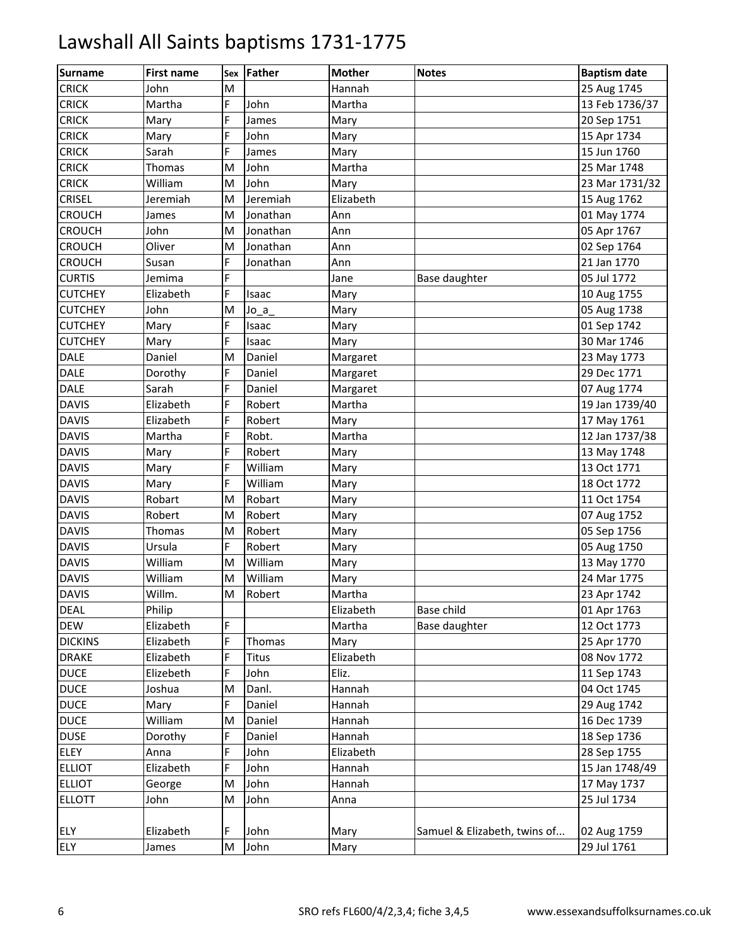| <b>Surname</b> | <b>First name</b> |    | Sex Father   | <b>Mother</b> | <b>Notes</b>                 | <b>Baptism date</b> |
|----------------|-------------------|----|--------------|---------------|------------------------------|---------------------|
| <b>CRICK</b>   | John              | M  |              | Hannah        |                              | 25 Aug 1745         |
| <b>CRICK</b>   | Martha            | F  | John         | Martha        |                              | 13 Feb 1736/37      |
| <b>CRICK</b>   | Mary              | F  | James        | Mary          |                              | 20 Sep 1751         |
| <b>CRICK</b>   | Mary              | F  | John         | Mary          |                              | 15 Apr 1734         |
| <b>CRICK</b>   | Sarah             | F. | James        | Mary          |                              | 15 Jun 1760         |
| <b>CRICK</b>   | Thomas            | M  | John         | Martha        |                              | 25 Mar 1748         |
| <b>CRICK</b>   | William           | M  | John         | Mary          |                              | 23 Mar 1731/32      |
| <b>CRISEL</b>  | Jeremiah          | M  | Jeremiah     | Elizabeth     |                              | 15 Aug 1762         |
| <b>CROUCH</b>  | James             | M  | Jonathan     | Ann           |                              | 01 May 1774         |
| <b>CROUCH</b>  | John              | M  | Jonathan     | Ann           |                              | 05 Apr 1767         |
| CROUCH         | Oliver            | M  | Jonathan     | Ann           |                              | 02 Sep 1764         |
| <b>CROUCH</b>  | Susan             | F  | Jonathan     | Ann           |                              | 21 Jan 1770         |
| <b>CURTIS</b>  | Jemima            | F  |              | Jane          | Base daughter                | 05 Jul 1772         |
| <b>CUTCHEY</b> | Elizabeth         | F  | Isaac        | Mary          |                              | 10 Aug 1755         |
| <b>CUTCHEY</b> | John              | M  | Jo a         | Mary          |                              | 05 Aug 1738         |
| <b>CUTCHEY</b> | Mary              | F  | Isaac        | Mary          |                              | 01 Sep 1742         |
| <b>CUTCHEY</b> | Mary              | F  | Isaac        | Mary          |                              | 30 Mar 1746         |
| <b>DALE</b>    | Daniel            | M  | Daniel       | Margaret      |                              | 23 May 1773         |
| <b>DALE</b>    | Dorothy           | F. | Daniel       | Margaret      |                              | 29 Dec 1771         |
| <b>DALE</b>    | Sarah             | F. | Daniel       | Margaret      |                              | 07 Aug 1774         |
| <b>DAVIS</b>   | Elizabeth         | F. | Robert       | Martha        |                              | 19 Jan 1739/40      |
| <b>DAVIS</b>   | Elizabeth         | F  | Robert       | Mary          |                              | 17 May 1761         |
| <b>DAVIS</b>   | Martha            | F  | Robt.        | Martha        |                              | 12 Jan 1737/38      |
| <b>DAVIS</b>   | Mary              | F  | Robert       | Mary          |                              | 13 May 1748         |
| <b>DAVIS</b>   | Mary              | F  | William      | Mary          |                              | 13 Oct 1771         |
| <b>DAVIS</b>   | Mary              | F  | William      | Mary          |                              | 18 Oct 1772         |
| <b>DAVIS</b>   | Robart            | M  | Robart       | Mary          |                              | 11 Oct 1754         |
| <b>DAVIS</b>   | Robert            | M  | Robert       | Mary          |                              | 07 Aug 1752         |
| <b>DAVIS</b>   | Thomas            | M  | Robert       | Mary          |                              | 05 Sep 1756         |
| <b>DAVIS</b>   | Ursula            | F  | Robert       | Mary          |                              | 05 Aug 1750         |
| <b>DAVIS</b>   | William           | M  | William      | Mary          |                              | 13 May 1770         |
| <b>DAVIS</b>   | William           | M  | William      | Mary          |                              | 24 Mar 1775         |
| <b>DAVIS</b>   | Willm.            | M  | Robert       | Martha        |                              | 23 Apr 1742         |
| <b>DEAL</b>    | Philip            |    |              | Elizabeth     | <b>Base child</b>            | 01 Apr 1763         |
| <b>DEW</b>     | Elizabeth         | F  |              | Martha        | Base daughter                | 12 Oct 1773         |
| <b>DICKINS</b> | Elizabeth         | F  | Thomas       | Mary          |                              | 25 Apr 1770         |
| <b>DRAKE</b>   | Elizabeth         | F  | <b>Titus</b> | Elizabeth     |                              | 08 Nov 1772         |
| <b>DUCE</b>    | Elizebeth         | F  | John         | Eliz.         |                              | 11 Sep 1743         |
| <b>DUCE</b>    | Joshua            | M  | Danl.        | Hannah        |                              | 04 Oct 1745         |
| <b>DUCE</b>    | Mary              | F  | Daniel       | Hannah        |                              | 29 Aug 1742         |
| <b>DUCE</b>    | William           | M  | Daniel       | Hannah        |                              | 16 Dec 1739         |
| <b>DUSE</b>    | Dorothy           | F  | Daniel       | Hannah        |                              | 18 Sep 1736         |
| <b>ELEY</b>    | Anna              | F  | John         | Elizabeth     |                              | 28 Sep 1755         |
| <b>ELLIOT</b>  | Elizabeth         | F  | John         | Hannah        |                              | 15 Jan 1748/49      |
| <b>ELLIOT</b>  | George            | M  | John         | Hannah        |                              | 17 May 1737         |
| <b>ELLOTT</b>  | John              | M  | John         | Anna          |                              | 25 Jul 1734         |
|                |                   |    |              |               |                              |                     |
| <b>ELY</b>     | Elizabeth         | F. | John         | Mary          | Samuel & Elizabeth, twins of | 02 Aug 1759         |
| <b>ELY</b>     | James             | M  | John         | Mary          |                              | 29 Jul 1761         |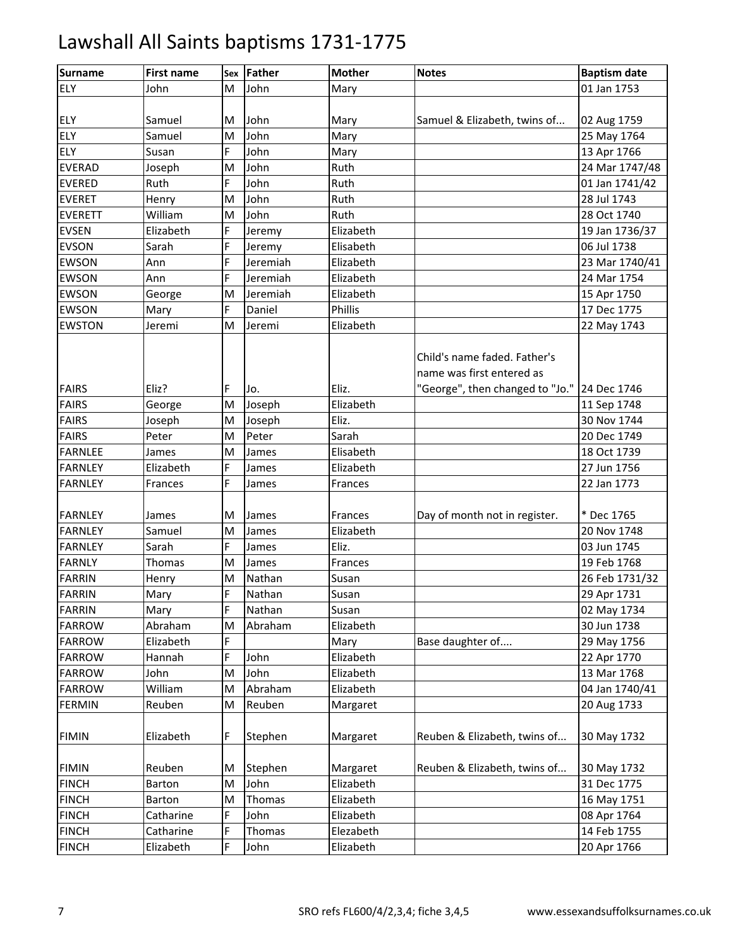| <b>Surname</b> | <b>First name</b> |   | Sex Father | <b>Mother</b> | <b>Notes</b>                                | <b>Baptism date</b> |
|----------------|-------------------|---|------------|---------------|---------------------------------------------|---------------------|
| ELY            | John              | M | John       | Mary          |                                             | 01 Jan 1753         |
|                |                   |   |            |               |                                             |                     |
| <b>ELY</b>     | Samuel            | м | John       | Mary          | Samuel & Elizabeth, twins of                | 02 Aug 1759         |
| ELY            | Samuel            | M | John       | Mary          |                                             | 25 May 1764         |
| ELY            | Susan             | F | John       | Mary          |                                             | 13 Apr 1766         |
| <b>EVERAD</b>  | Joseph            | M | John       | Ruth          |                                             | 24 Mar 1747/48      |
| <b>EVERED</b>  | Ruth              | F | John       | Ruth          |                                             | 01 Jan 1741/42      |
| <b>EVERET</b>  | Henry             | M | John       | Ruth          |                                             | 28 Jul 1743         |
| <b>EVERETT</b> | William           | M | John       | Ruth          |                                             | 28 Oct 1740         |
| <b>EVSEN</b>   | Elizabeth         | F | Jeremy     | Elizabeth     |                                             | 19 Jan 1736/37      |
| <b>EVSON</b>   | Sarah             | F | Jeremy     | Elisabeth     |                                             | 06 Jul 1738         |
| <b>EWSON</b>   | Ann               | F | Jeremiah   | Elizabeth     |                                             | 23 Mar 1740/41      |
| <b>EWSON</b>   | Ann               | F | Jeremiah   | Elizabeth     |                                             | 24 Mar 1754         |
| <b>EWSON</b>   | George            | M | Jeremiah   | Elizabeth     |                                             | 15 Apr 1750         |
| <b>EWSON</b>   | Mary              | F | Daniel     | Phillis       |                                             | 17 Dec 1775         |
| <b>EWSTON</b>  | Jeremi            | M | Jeremi     | Elizabeth     |                                             | 22 May 1743         |
|                |                   |   |            |               | Child's name faded. Father's                |                     |
|                |                   |   |            |               | name was first entered as                   |                     |
| <b>FAIRS</b>   | Eliz?             | F | Jo.        | Eliz.         | "George", then changed to "Jo." 24 Dec 1746 |                     |
| <b>FAIRS</b>   | George            | M | Joseph     | Elizabeth     |                                             | 11 Sep 1748         |
| <b>FAIRS</b>   | Joseph            | M | Joseph     | Eliz.         |                                             | 30 Nov 1744         |
| <b>FAIRS</b>   | Peter             | M | Peter      | Sarah         |                                             | 20 Dec 1749         |
| <b>FARNLEE</b> | James             | M | James      | Elisabeth     |                                             | 18 Oct 1739         |
| <b>FARNLEY</b> | Elizabeth         | F | James      | Elizabeth     |                                             | 27 Jun 1756         |
| <b>FARNLEY</b> | Frances           | F | James      | Frances       |                                             | 22 Jan 1773         |
|                |                   |   |            |               |                                             |                     |
| <b>FARNLEY</b> | James             | M | James      | Frances       | Day of month not in register.               | * Dec 1765          |
| <b>FARNLEY</b> | Samuel            | M | James      | Elizabeth     |                                             | 20 Nov 1748         |
| <b>FARNLEY</b> | Sarah             | F | James      | Eliz.         |                                             | 03 Jun 1745         |
| <b>FARNLY</b>  | Thomas            | M | James      | Frances       |                                             | 19 Feb 1768         |
| <b>FARRIN</b>  | Henry             | M | Nathan     | Susan         |                                             | 26 Feb 1731/32      |
| <b>FARRIN</b>  | Mary              | F | Nathan     | Susan         |                                             | 29 Apr 1731         |
| <b>FARRIN</b>  | Mary              | F | Nathan     | Susan         |                                             | 02 May 1734         |
| <b>FARROW</b>  | Abraham           | M | Abraham    | Elizabeth     |                                             | 30 Jun 1738         |
| <b>FARROW</b>  | Elizabeth         | F |            | Mary          | Base daughter of                            | 29 May 1756         |
| <b>FARROW</b>  | Hannah            | F | John       | Elizabeth     |                                             | 22 Apr 1770         |
| <b>FARROW</b>  | John              | M | John       | Elizabeth     |                                             | 13 Mar 1768         |
| <b>FARROW</b>  | William           | M | Abraham    | Elizabeth     |                                             | 04 Jan 1740/41      |
| <b>FERMIN</b>  | Reuben            | M | Reuben     | Margaret      |                                             | 20 Aug 1733         |
|                |                   |   |            |               |                                             |                     |
| <b>FIMIN</b>   | Elizabeth         | F | Stephen    | Margaret      | Reuben & Elizabeth, twins of                | 30 May 1732         |
| <b>FIMIN</b>   | Reuben            | M | Stephen    | Margaret      | Reuben & Elizabeth, twins of                | 30 May 1732         |
| <b>FINCH</b>   | Barton            | M | John       | Elizabeth     |                                             | 31 Dec 1775         |
| <b>FINCH</b>   | Barton            | M | Thomas     | Elizabeth     |                                             | 16 May 1751         |
| <b>FINCH</b>   | Catharine         | F | John       | Elizabeth     |                                             | 08 Apr 1764         |
| <b>FINCH</b>   | Catharine         | F | Thomas     | Elezabeth     |                                             | 14 Feb 1755         |
| <b>FINCH</b>   | Elizabeth         | F | John       | Elizabeth     |                                             | 20 Apr 1766         |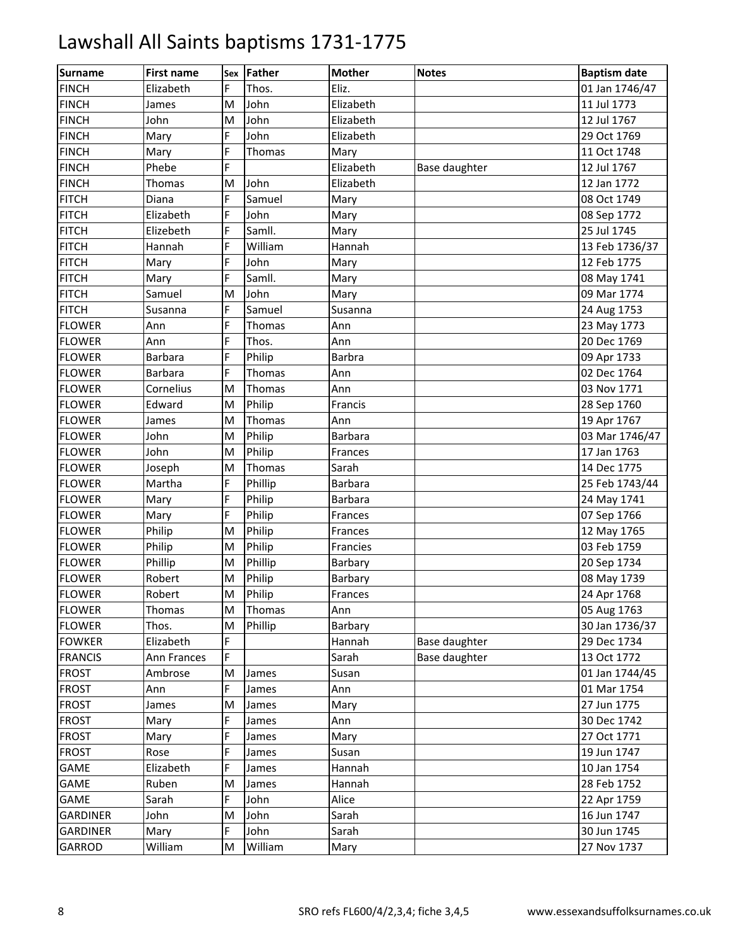| <b>Surname</b>  | <b>First name</b> | Sex | Father  | <b>Mother</b> | <b>Notes</b>  | <b>Baptism date</b> |
|-----------------|-------------------|-----|---------|---------------|---------------|---------------------|
| <b>FINCH</b>    | Elizabeth         | F   | Thos.   | Eliz.         |               | 01 Jan 1746/47      |
| <b>FINCH</b>    | James             | M   | John    | Elizabeth     |               | 11 Jul 1773         |
| <b>FINCH</b>    | John              | M   | John    | Elizabeth     |               | 12 Jul 1767         |
| <b>FINCH</b>    | Mary              | F   | John    | Elizabeth     |               | 29 Oct 1769         |
| <b>FINCH</b>    | Mary              | F   | Thomas  | Mary          |               | 11 Oct 1748         |
| <b>FINCH</b>    | Phebe             | F   |         | Elizabeth     | Base daughter | 12 Jul 1767         |
| <b>FINCH</b>    | Thomas            | M   | John    | Elizabeth     |               | 12 Jan 1772         |
| <b>FITCH</b>    | Diana             | F   | Samuel  | Mary          |               | 08 Oct 1749         |
| <b>FITCH</b>    | Elizabeth         | F   | John    | Mary          |               | 08 Sep 1772         |
| <b>FITCH</b>    | Elizebeth         | F   | Samll.  | Mary          |               | 25 Jul 1745         |
| <b>FITCH</b>    | Hannah            | F   | William | Hannah        |               | 13 Feb 1736/37      |
| <b>FITCH</b>    | Mary              | F   | John    | Mary          |               | 12 Feb 1775         |
| <b>FITCH</b>    | Mary              | F   | Samll.  | Mary          |               | 08 May 1741         |
| <b>FITCH</b>    | Samuel            | M   | John    | Mary          |               | 09 Mar 1774         |
| <b>FITCH</b>    | Susanna           | F   | Samuel  | Susanna       |               | 24 Aug 1753         |
| <b>FLOWER</b>   | Ann               | F   | Thomas  | Ann           |               | 23 May 1773         |
| <b>FLOWER</b>   | Ann               | F   | Thos.   | Ann           |               | 20 Dec 1769         |
| <b>FLOWER</b>   | <b>Barbara</b>    | F   | Philip  | Barbra        |               | 09 Apr 1733         |
| <b>FLOWER</b>   | <b>Barbara</b>    | F   | Thomas  | Ann           |               | 02 Dec 1764         |
| <b>FLOWER</b>   | Cornelius         | M   | Thomas  | Ann           |               | 03 Nov 1771         |
| <b>FLOWER</b>   | Edward            | M   | Philip  | Francis       |               | 28 Sep 1760         |
| <b>FLOWER</b>   | James             | M   | Thomas  | Ann           |               | 19 Apr 1767         |
| <b>FLOWER</b>   | John              | M   | Philip  | Barbara       |               | 03 Mar 1746/47      |
| <b>FLOWER</b>   | John              | M   | Philip  | Frances       |               | 17 Jan 1763         |
| <b>FLOWER</b>   | Joseph            | M   | Thomas  | Sarah         |               | 14 Dec 1775         |
| <b>FLOWER</b>   | Martha            | F   | Phillip | Barbara       |               | 25 Feb 1743/44      |
| <b>FLOWER</b>   | Mary              | F   | Philip  | Barbara       |               | 24 May 1741         |
| <b>FLOWER</b>   | Mary              | F   | Philip  | Frances       |               | 07 Sep 1766         |
| <b>FLOWER</b>   | Philip            | M   | Philip  | Frances       |               | 12 May 1765         |
| <b>FLOWER</b>   | Philip            | M   | Philip  | Francies      |               | 03 Feb 1759         |
| <b>FLOWER</b>   | Phillip           | M   | Phillip | Barbary       |               | 20 Sep 1734         |
| <b>FLOWER</b>   | Robert            | M   | Philip  | Barbary       |               | 08 May 1739         |
| <b>FLOWER</b>   | Robert            | M   | Philip  | Frances       |               | 24 Apr 1768         |
| <b>FLOWER</b>   | Thomas            | M   | Thomas  | Ann           |               | 05 Aug 1763         |
| <b>FLOWER</b>   | Thos.             | M   | Phillip | Barbary       |               | 30 Jan 1736/37      |
| <b>FOWKER</b>   | Elizabeth         | F   |         | Hannah        | Base daughter | 29 Dec 1734         |
| <b>FRANCIS</b>  | Ann Frances       | F   |         | Sarah         | Base daughter | 13 Oct 1772         |
| <b>FROST</b>    | Ambrose           | M   | James   | Susan         |               | 01 Jan 1744/45      |
| <b>FROST</b>    | Ann               | F   | James   | Ann           |               | 01 Mar 1754         |
| <b>FROST</b>    | James             | M   | James   | Mary          |               | 27 Jun 1775         |
| <b>FROST</b>    | Mary              | F   | James   | Ann           |               | 30 Dec 1742         |
| <b>FROST</b>    | Mary              | F   | James   | Mary          |               | 27 Oct 1771         |
| <b>FROST</b>    | Rose              | F   | James   | Susan         |               | 19 Jun 1747         |
| GAME            | Elizabeth         | F   | James   | Hannah        |               | 10 Jan 1754         |
| GAME            | Ruben             | M   | James   | Hannah        |               | 28 Feb 1752         |
| GAME            | Sarah             | F   | John    | Alice         |               | 22 Apr 1759         |
| <b>GARDINER</b> | John              | M   | John    | Sarah         |               | 16 Jun 1747         |
| <b>GARDINER</b> | Mary              | F   | John    | Sarah         |               | 30 Jun 1745         |
| <b>GARROD</b>   | William           | M   | William | Mary          |               | 27 Nov 1737         |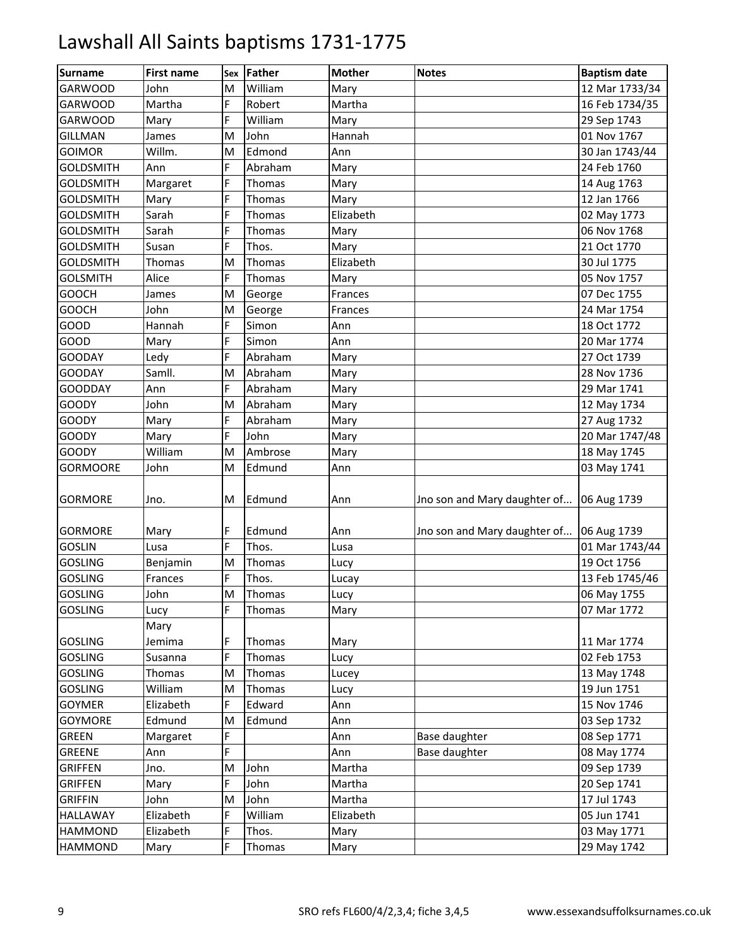| <b>Surname</b>   | <b>First name</b> | Sex | Father        | <b>Mother</b> | <b>Notes</b>                 | <b>Baptism date</b>       |
|------------------|-------------------|-----|---------------|---------------|------------------------------|---------------------------|
| <b>GARWOOD</b>   | John              | M   | William       | Mary          |                              | 12 Mar 1733/34            |
| <b>GARWOOD</b>   | Martha            | F   | Robert        | Martha        |                              | 16 Feb 1734/35            |
| <b>GARWOOD</b>   | Mary              | F   | William       | Mary          |                              | 29 Sep 1743               |
| <b>GILLMAN</b>   | James             | M   | John          | Hannah        |                              | 01 Nov 1767               |
| <b>GOIMOR</b>    | Willm.            | M   | Edmond        | Ann           |                              | 30 Jan 1743/44            |
| <b>GOLDSMITH</b> | Ann               | F   | Abraham       | Mary          |                              | 24 Feb 1760               |
| <b>GOLDSMITH</b> | Margaret          | F   | Thomas        | Mary          |                              | 14 Aug 1763               |
| <b>GOLDSMITH</b> | Mary              | F   | Thomas        | Mary          |                              | $\overline{1}$ 2 Jan 1766 |
| <b>GOLDSMITH</b> | Sarah             | F   | Thomas        | Elizabeth     |                              | 02 May 1773               |
| <b>GOLDSMITH</b> | Sarah             | F.  | Thomas        | Mary          |                              | 06 Nov 1768               |
| <b>GOLDSMITH</b> | Susan             | F   | Thos.         | Mary          |                              | 21 Oct 1770               |
| <b>GOLDSMITH</b> | Thomas            | M   | Thomas        | Elizabeth     |                              | 30 Jul 1775               |
| <b>GOLSMITH</b>  | Alice             | F   | <b>Thomas</b> | Mary          |                              | 05 Nov 1757               |
| <b>GOOCH</b>     | James             | M   | George        | Frances       |                              | 07 Dec 1755               |
| <b>GOOCH</b>     | John              | M   | George        | Frances       |                              | 24 Mar 1754               |
| GOOD             | Hannah            | F   | Simon         | Ann           |                              | 18 Oct 1772               |
| GOOD             | Mary              | F   | Simon         | Ann           |                              | 20 Mar 1774               |
| <b>GOODAY</b>    | Ledy              | F   | Abraham       | Mary          |                              | 27 Oct 1739               |
| <b>GOODAY</b>    | Samll.            | M   | Abraham       | Mary          |                              | 28 Nov 1736               |
| <b>GOODDAY</b>   | Ann               | F.  | Abraham       | Mary          |                              | 29 Mar 1741               |
| GOODY            | John              | M   | Abraham       | Mary          |                              | 12 May 1734               |
| <b>GOODY</b>     | Mary              | F   | Abraham       | Mary          |                              | 27 Aug 1732               |
| <b>GOODY</b>     | Mary              | F   | John          | Mary          |                              | 20 Mar 1747/48            |
| <b>GOODY</b>     | William           | M   | Ambrose       | Mary          |                              | 18 May 1745               |
| <b>GORMOORE</b>  | John              | M   | Edmund        | Ann           |                              | 03 May 1741               |
|                  |                   |     |               |               |                              |                           |
| <b>GORMORE</b>   | Jno.              | M   | Edmund        | Ann           | Jno son and Mary daughter of | 06 Aug 1739               |
|                  |                   |     |               |               |                              |                           |
| <b>GORMORE</b>   | Mary              | F   | Edmund        | Ann           | Jno son and Mary daughter of | 06 Aug 1739               |
| <b>GOSLIN</b>    | Lusa              | F.  | Thos.         | Lusa          |                              | 01 Mar 1743/44            |
| <b>GOSLING</b>   | Benjamin          | M   | Thomas        | Lucy          |                              | 19 Oct 1756               |
| <b>GOSLING</b>   | Frances           | F   | Thos.         | Lucay         |                              | 13 Feb 1745/46            |
| <b>GOSLING</b>   | John              | M   | Thomas        | Lucy          |                              | 06 May 1755               |
| <b>GOSLING</b>   | Lucy              | F   | Thomas        | Mary          |                              | 07 Mar 1772               |
|                  | Mary              |     |               |               |                              |                           |
| <b>GOSLING</b>   | Jemima            | F   | Thomas        | Mary          |                              | 11 Mar 1774               |
| <b>GOSLING</b>   | Susanna           | F   | Thomas        | Lucy          |                              | 02 Feb 1753               |
| <b>GOSLING</b>   | Thomas            | M   | Thomas        | Lucey         |                              | 13 May 1748               |
| <b>GOSLING</b>   | William           | M   | Thomas        | Lucy          |                              | 19 Jun 1751               |
| <b>GOYMER</b>    | Elizabeth         | F   | Edward        | Ann           |                              | 15 Nov 1746               |
| GOYMORE          | Edmund            | M   | Edmund        | Ann           |                              | 03 Sep 1732               |
| <b>GREEN</b>     | Margaret          | F   |               | Ann           | Base daughter                | 08 Sep 1771               |
| <b>GREENE</b>    | Ann               | F   |               | Ann           | Base daughter                | 08 May 1774               |
| <b>GRIFFEN</b>   | Jno.              | M   | John          | Martha        |                              | 09 Sep 1739               |
| <b>GRIFFEN</b>   | Mary              | F   | John          | Martha        |                              | 20 Sep 1741               |
| <b>GRIFFIN</b>   | John              | M   | John          | Martha        |                              | 17 Jul 1743               |
| HALLAWAY         | Elizabeth         | F   | William       | Elizabeth     |                              | 05 Jun 1741               |
| <b>HAMMOND</b>   | Elizabeth         | F   | Thos.         | Mary          |                              | 03 May 1771               |
| <b>HAMMOND</b>   | Mary              | F   | Thomas        | Mary          |                              | 29 May 1742               |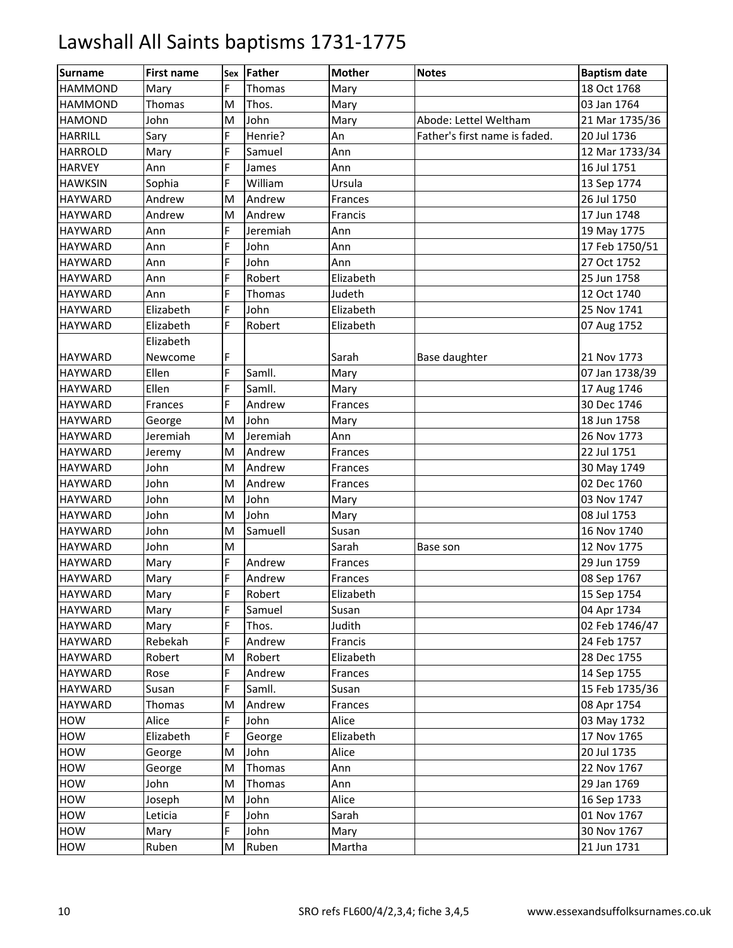| Surname        | <b>First name</b> | <b>Sex</b> | <b>Father</b> | <b>Mother</b> | <b>Notes</b>                  | <b>Baptism date</b> |
|----------------|-------------------|------------|---------------|---------------|-------------------------------|---------------------|
| <b>HAMMOND</b> | Mary              | F          | Thomas        | Mary          |                               | 18 Oct 1768         |
| <b>HAMMOND</b> | Thomas            | M          | Thos.         | Mary          |                               | 03 Jan 1764         |
| <b>HAMOND</b>  | John              | M          | John          | Mary          | Abode: Lettel Weltham         | 21 Mar 1735/36      |
| <b>HARRILL</b> | Sary              | F          | Henrie?       | An            | Father's first name is faded. | 20 Jul 1736         |
| <b>HARROLD</b> | Mary              | F          | Samuel        | Ann           |                               | 12 Mar 1733/34      |
| <b>HARVEY</b>  | Ann               | F          | James         | Ann           |                               | 16 Jul 1751         |
| <b>HAWKSIN</b> | Sophia            | F          | William       | Ursula        |                               | 13 Sep 1774         |
| <b>HAYWARD</b> | Andrew            | M          | Andrew        | Frances       |                               | 26 Jul 1750         |
| <b>HAYWARD</b> | Andrew            | M          | Andrew        | Francis       |                               | 17 Jun 1748         |
| <b>HAYWARD</b> | Ann               | F          | Jeremiah      | Ann           |                               | 19 May 1775         |
| <b>HAYWARD</b> | Ann               | F          | John          | Ann           |                               | 17 Feb 1750/51      |
| <b>HAYWARD</b> | Ann               | F          | John          | Ann           |                               | 27 Oct 1752         |
| <b>HAYWARD</b> | Ann               | F          | Robert        | Elizabeth     |                               | 25 Jun 1758         |
| <b>HAYWARD</b> | Ann               | F          | Thomas        | Judeth        |                               | 12 Oct 1740         |
| <b>HAYWARD</b> | Elizabeth         | F          | John          | Elizabeth     |                               | 25 Nov 1741         |
| <b>HAYWARD</b> | Elizabeth         | F          | Robert        | Elizabeth     |                               | 07 Aug 1752         |
|                | Elizabeth         |            |               |               |                               |                     |
| <b>HAYWARD</b> | Newcome           | F          |               | Sarah         | Base daughter                 | 21 Nov 1773         |
| <b>HAYWARD</b> | Ellen             | F          | Samll.        | Mary          |                               | 07 Jan 1738/39      |
| <b>HAYWARD</b> | Ellen             | F          | Samll.        | Mary          |                               | 17 Aug 1746         |
| <b>HAYWARD</b> | Frances           | F          | Andrew        | Frances       |                               | 30 Dec 1746         |
| <b>HAYWARD</b> | George            | M          | John          | Mary          |                               | 18 Jun 1758         |
| <b>HAYWARD</b> | Jeremiah          | M          | Jeremiah      | Ann           |                               | 26 Nov 1773         |
| <b>HAYWARD</b> | Jeremy            | M          | Andrew        | Frances       |                               | 22 Jul 1751         |
| <b>HAYWARD</b> | John              | M          | Andrew        | Frances       |                               | 30 May 1749         |
| <b>HAYWARD</b> | John              | M          | Andrew        | Frances       |                               | 02 Dec 1760         |
| <b>HAYWARD</b> | John              | M          | John          | Mary          |                               | 03 Nov 1747         |
| <b>HAYWARD</b> | John              | M          | John          | Mary          |                               | 08 Jul 1753         |
| <b>HAYWARD</b> | John              | M          | Samuell       | Susan         |                               | 16 Nov 1740         |
| <b>HAYWARD</b> | John              | M          |               | Sarah         | Base son                      | 12 Nov 1775         |
| <b>HAYWARD</b> | Mary              | F          | Andrew        | Frances       |                               | 29 Jun 1759         |
| <b>HAYWARD</b> | Mary              | F          | Andrew        | Frances       |                               | 08 Sep 1767         |
| <b>HAYWARD</b> | Mary              | F          | Robert        | Elizabeth     |                               | 15 Sep 1754         |
| <b>HAYWARD</b> | Mary              | F          | Samuel        | Susan         |                               | 04 Apr 1734         |
| <b>HAYWARD</b> | Mary              | F          | Thos.         | Judith        |                               | 02 Feb 1746/47      |
| <b>HAYWARD</b> | Rebekah           | F          | Andrew        | Francis       |                               | 24 Feb 1757         |
| <b>HAYWARD</b> | Robert            | M          | Robert        | Elizabeth     |                               | 28 Dec 1755         |
| <b>HAYWARD</b> | Rose              | F          | Andrew        | Frances       |                               | 14 Sep 1755         |
| <b>HAYWARD</b> | Susan             | F          | Samll.        | Susan         |                               | 15 Feb 1735/36      |
| <b>HAYWARD</b> | Thomas            | M          | Andrew        | Frances       |                               | 08 Apr 1754         |
| HOW            | Alice             | F          | John          | Alice         |                               | 03 May 1732         |
| HOW            | Elizabeth         | F          | George        | Elizabeth     |                               | 17 Nov 1765         |
| HOW            | George            | M          | John          | Alice         |                               | 20 Jul 1735         |
| HOW            | George            | M          | Thomas        | Ann           |                               | 22 Nov 1767         |
| HOW            | John              | M          | Thomas        | Ann           |                               | 29 Jan 1769         |
| HOW            | Joseph            | M          | John          | Alice         |                               | 16 Sep 1733         |
| <b>HOW</b>     | Leticia           | F          | John          | Sarah         |                               | 01 Nov 1767         |
| HOW            | Mary              | F          | John          | Mary          |                               | 30 Nov 1767         |
| HOW            | Ruben             | M          | Ruben         | Martha        |                               | 21 Jun 1731         |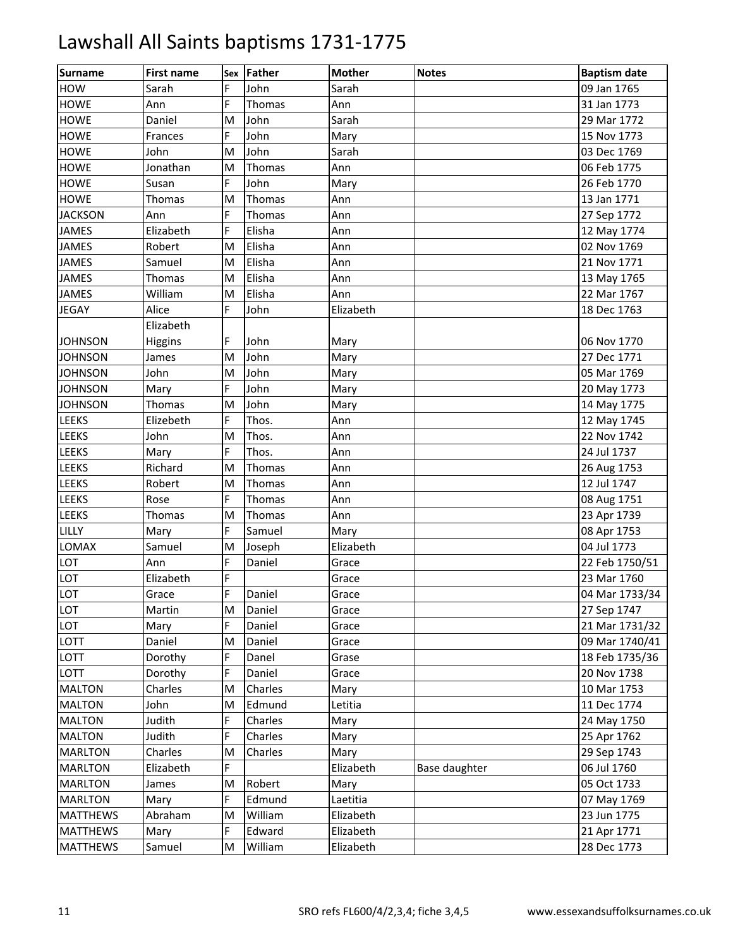| <b>Surname</b>  | <b>First name</b> | Sex | Father  | <b>Mother</b> | <b>Notes</b>  | <b>Baptism date</b> |
|-----------------|-------------------|-----|---------|---------------|---------------|---------------------|
| HOW             | Sarah             | F   | John    | Sarah         |               | 09 Jan 1765         |
| <b>HOWE</b>     | Ann               | F   | Thomas  | Ann           |               | 31 Jan 1773         |
| <b>HOWE</b>     | Daniel            | M   | John    | Sarah         |               | 29 Mar 1772         |
| <b>HOWE</b>     | Frances           | F   | John    | Mary          |               | 15 Nov 1773         |
| <b>HOWE</b>     | John              | M   | John    | Sarah         |               | 03 Dec 1769         |
| <b>HOWE</b>     | Jonathan          | M   | Thomas  | Ann           |               | 06 Feb 1775         |
| <b>HOWE</b>     | Susan             | F   | John    | Mary          |               | 26 Feb 1770         |
| <b>HOWE</b>     | Thomas            | M   | Thomas  | Ann           |               | 13 Jan 1771         |
| <b>JACKSON</b>  | Ann               | F   | Thomas  | Ann           |               | 27 Sep 1772         |
| <b>JAMES</b>    | Elizabeth         | F   | Elisha  | Ann           |               | 12 May 1774         |
| <b>JAMES</b>    | Robert            | M   | Elisha  | Ann           |               | 02 Nov 1769         |
| <b>JAMES</b>    | Samuel            | M   | Elisha  | Ann           |               | 21 Nov 1771         |
| <b>JAMES</b>    | Thomas            | M   | Elisha  | Ann           |               | 13 May 1765         |
| <b>JAMES</b>    | William           | M   | Elisha  | Ann           |               | 22 Mar 1767         |
| <b>JEGAY</b>    | Alice             | F   | John    | Elizabeth     |               | 18 Dec 1763         |
|                 | Elizabeth         |     |         |               |               |                     |
| <b>JOHNSON</b>  | Higgins           | F   | John    | Mary          |               | 06 Nov 1770         |
| <b>JOHNSON</b>  | James             | M   | John    | Mary          |               | 27 Dec 1771         |
| <b>JOHNSON</b>  | John              | M   | John    | Mary          |               | 05 Mar 1769         |
| <b>JOHNSON</b>  | Mary              | F   | John    | Mary          |               | 20 May 1773         |
| <b>JOHNSON</b>  | Thomas            | M   | John    | Mary          |               | 14 May 1775         |
| LEEKS           | Elizebeth         | F   | Thos.   | Ann           |               | 12 May 1745         |
| <b>LEEKS</b>    | John              | M   | Thos.   | Ann           |               | 22 Nov 1742         |
| <b>LEEKS</b>    | Mary              | F   | Thos.   | Ann           |               | 24 Jul 1737         |
| <b>LEEKS</b>    | Richard           | M   | Thomas  | Ann           |               | 26 Aug 1753         |
| <b>LEEKS</b>    | Robert            | M   | Thomas  | Ann           |               | 12 Jul 1747         |
| LEEKS           | Rose              | F   | Thomas  | Ann           |               | 08 Aug 1751         |
| LEEKS           | Thomas            | M   | Thomas  | Ann           |               | 23 Apr 1739         |
| LILLY           | Mary              | F   | Samuel  | Mary          |               | 08 Apr 1753         |
| LOMAX           | Samuel            | M   | Joseph  | Elizabeth     |               | 04 Jul 1773         |
| LOT             | Ann               | F   | Daniel  | Grace         |               | 22 Feb 1750/51      |
| LOT             | Elizabeth         | F   |         | Grace         |               | 23 Mar 1760         |
| LOT             | Grace             | F   | Daniel  | Grace         |               | 04 Mar 1733/34      |
| LOT             | Martin            | M   | Daniel  | Grace         |               | 27 Sep 1747         |
| LOT             | Mary              | F   | Daniel  | Grace         |               | 21 Mar 1731/32      |
| LOTT            | Daniel            | M   | Daniel  | Grace         |               | 09 Mar 1740/41      |
| LOTT            | Dorothy           | F   | Danel   | Grase         |               | 18 Feb 1735/36      |
| LOTT            | Dorothy           | F   | Daniel  | Grace         |               | 20 Nov 1738         |
| <b>MALTON</b>   | Charles           | M   | Charles | Mary          |               | 10 Mar 1753         |
| <b>MALTON</b>   | John              | M   | Edmund  | Letitia       |               | 11 Dec 1774         |
| <b>MALTON</b>   | Judith            | F   | Charles | Mary          |               | 24 May 1750         |
| <b>MALTON</b>   | Judith            | F   | Charles | Mary          |               | 25 Apr 1762         |
| <b>MARLTON</b>  | Charles           | M   | Charles | Mary          |               | 29 Sep 1743         |
| <b>MARLTON</b>  | Elizabeth         | F   |         | Elizabeth     | Base daughter | 06 Jul 1760         |
| <b>MARLTON</b>  | James             | M   | Robert  | Mary          |               | 05 Oct 1733         |
| <b>MARLTON</b>  | Mary              | F   | Edmund  | Laetitia      |               | 07 May 1769         |
| <b>MATTHEWS</b> | Abraham           | M   | William | Elizabeth     |               | 23 Jun 1775         |
| <b>MATTHEWS</b> | Mary              | F   | Edward  | Elizabeth     |               | 21 Apr 1771         |
| <b>MATTHEWS</b> | Samuel            | M   | William | Elizabeth     |               | 28 Dec 1773         |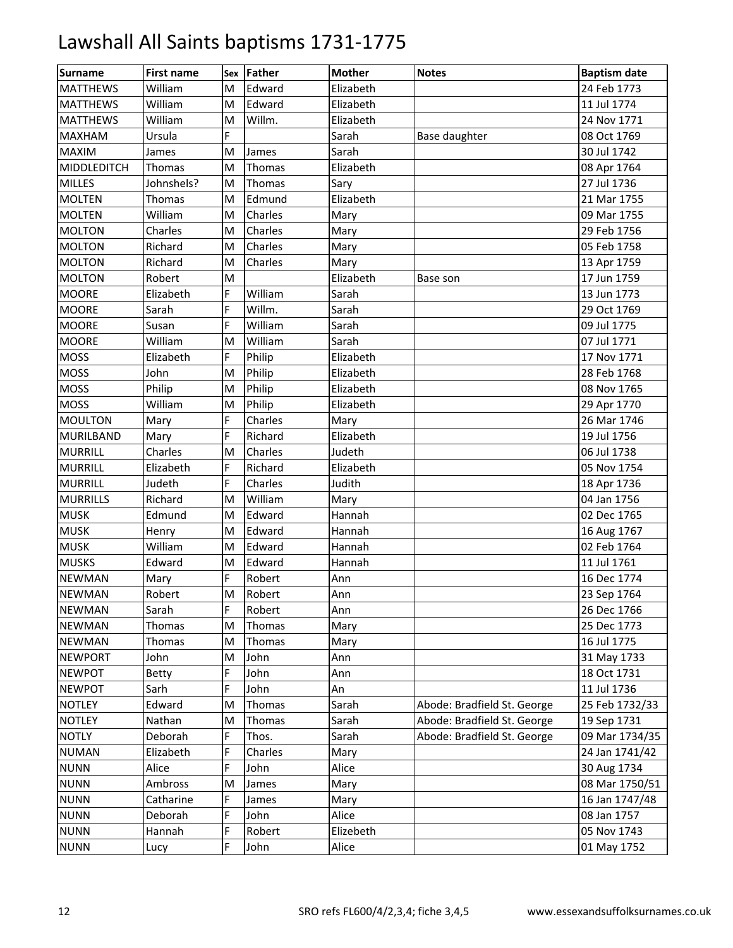| <b>Surname</b>     | <b>First name</b> |   | Sex Father | <b>Mother</b> | <b>Notes</b>                | <b>Baptism date</b> |
|--------------------|-------------------|---|------------|---------------|-----------------------------|---------------------|
| <b>MATTHEWS</b>    | William           | M | Edward     | Elizabeth     |                             | 24 Feb 1773         |
| <b>MATTHEWS</b>    | William           | M | Edward     | Elizabeth     |                             | 11 Jul 1774         |
| <b>MATTHEWS</b>    | William           | M | Willm.     | Elizabeth     |                             | 24 Nov 1771         |
| <b>MAXHAM</b>      | Ursula            | F |            | Sarah         | Base daughter               | 08 Oct 1769         |
| <b>MAXIM</b>       | James             | M | James      | Sarah         |                             | 30 Jul 1742         |
| <b>MIDDLEDITCH</b> | Thomas            | M | Thomas     | Elizabeth     |                             | 08 Apr 1764         |
| <b>MILLES</b>      | Johnshels?        | M | Thomas     | Sary          |                             | 27 Jul 1736         |
| <b>MOLTEN</b>      | Thomas            | M | Edmund     | Elizabeth     |                             | 21 Mar 1755         |
| <b>MOLTEN</b>      | William           | M | Charles    | Mary          |                             | 09 Mar 1755         |
| <b>MOLTON</b>      | Charles           | M | Charles    | Mary          |                             | 29 Feb 1756         |
| <b>MOLTON</b>      | Richard           | M | Charles    | Mary          |                             | 05 Feb 1758         |
| <b>MOLTON</b>      | Richard           | M | Charles    | Mary          |                             | 13 Apr 1759         |
| <b>MOLTON</b>      | Robert            | M |            | Elizabeth     | Base son                    | 17 Jun 1759         |
| <b>MOORE</b>       | Elizabeth         | F | William    | Sarah         |                             | 13 Jun 1773         |
| <b>MOORE</b>       | Sarah             | F | Willm.     | Sarah         |                             | 29 Oct 1769         |
| <b>MOORE</b>       | Susan             | F | William    | Sarah         |                             | 09 Jul 1775         |
| <b>MOORE</b>       | William           | M | William    | Sarah         |                             | 07 Jul 1771         |
| MOSS               | Elizabeth         | F | Philip     | Elizabeth     |                             | 17 Nov 1771         |
| <b>MOSS</b>        | John              | M | Philip     | Elizabeth     |                             | 28 Feb 1768         |
| <b>MOSS</b>        | Philip            | M | Philip     | Elizabeth     |                             | 08 Nov 1765         |
| <b>MOSS</b>        | William           | M | Philip     | Elizabeth     |                             | 29 Apr 1770         |
| <b>MOULTON</b>     | Mary              | F | Charles    | Mary          |                             | 26 Mar 1746         |
| MURILBAND          | Mary              | F | Richard    | Elizabeth     |                             | 19 Jul 1756         |
| <b>MURRILL</b>     | Charles           | M | Charles    | Judeth        |                             | 06 Jul 1738         |
| <b>MURRILL</b>     | Elizabeth         | F | Richard    | Elizabeth     |                             | 05 Nov 1754         |
| <b>MURRILL</b>     | Judeth            | F | Charles    | Judith        |                             | 18 Apr 1736         |
| <b>MURRILLS</b>    | Richard           | M | William    | Mary          |                             | 04 Jan 1756         |
| <b>MUSK</b>        | Edmund            | M | Edward     | Hannah        |                             | 02 Dec 1765         |
| <b>MUSK</b>        | Henry             | M | Edward     | Hannah        |                             | 16 Aug 1767         |
| <b>MUSK</b>        | William           | M | Edward     | Hannah        |                             | 02 Feb 1764         |
| <b>MUSKS</b>       | Edward            | M | Edward     | Hannah        |                             | 11 Jul 1761         |
| <b>NEWMAN</b>      | Mary              | F | Robert     | Ann           |                             | 16 Dec 1774         |
| <b>NEWMAN</b>      | Robert            | M | Robert     | Ann           |                             | 23 Sep 1764         |
| <b>NEWMAN</b>      | Sarah             | F | Robert     | Ann           |                             | 26 Dec 1766         |
| <b>NEWMAN</b>      | Thomas            | M | Thomas     | Mary          |                             | 25 Dec 1773         |
| <b>NEWMAN</b>      | Thomas            | M | Thomas     | Mary          |                             | 16 Jul 1775         |
| <b>NEWPORT</b>     | John              | M | John       | Ann           |                             | 31 May 1733         |
| <b>NEWPOT</b>      | <b>Betty</b>      | F | John       | Ann           |                             | 18 Oct 1731         |
| <b>NEWPOT</b>      | Sarh              | F | John       | An            |                             | 11 Jul 1736         |
| <b>NOTLEY</b>      | Edward            | M | Thomas     | Sarah         | Abode: Bradfield St. George | 25 Feb 1732/33      |
| <b>NOTLEY</b>      | Nathan            | M | Thomas     | Sarah         | Abode: Bradfield St. George | 19 Sep 1731         |
| <b>NOTLY</b>       | Deborah           | F | Thos.      | Sarah         | Abode: Bradfield St. George | 09 Mar 1734/35      |
| <b>NUMAN</b>       | Elizabeth         | F | Charles    | Mary          |                             | 24 Jan 1741/42      |
| <b>NUNN</b>        | Alice             | F | John       | Alice         |                             | 30 Aug 1734         |
| <b>NUNN</b>        | Ambross           | M | James      | Mary          |                             | 08 Mar 1750/51      |
| <b>NUNN</b>        | Catharine         | F | James      | Mary          |                             | 16 Jan 1747/48      |
| <b>NUNN</b>        | Deborah           | F | John       | Alice         |                             | 08 Jan 1757         |
| <b>NUNN</b>        | Hannah            | F | Robert     | Elizebeth     |                             | 05 Nov 1743         |
| <b>NUNN</b>        | Lucy              | F | John       | Alice         |                             | 01 May 1752         |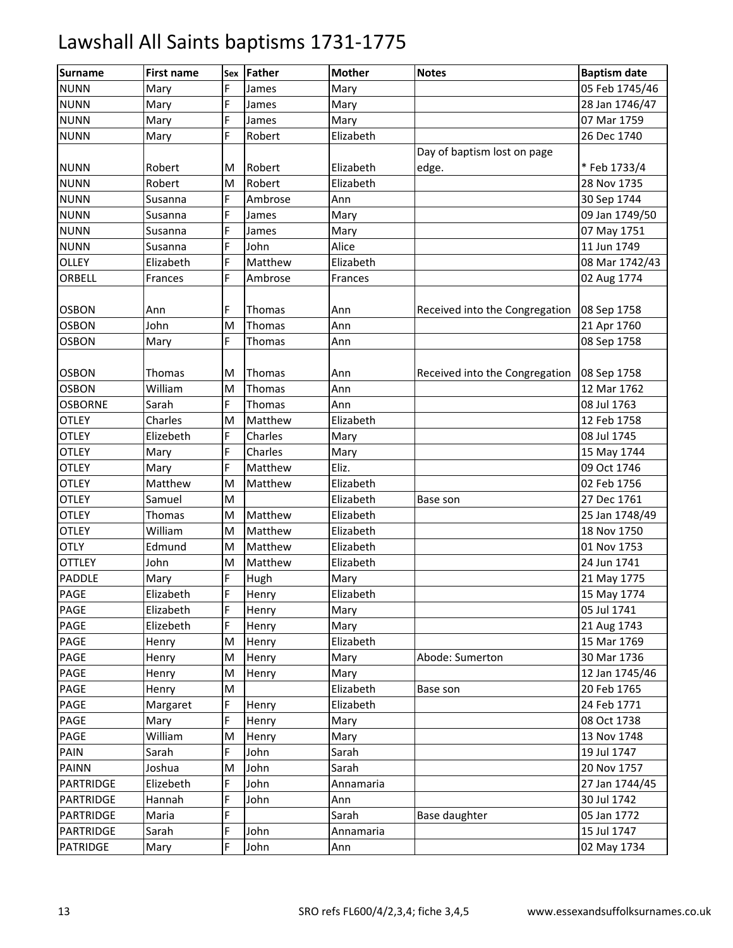| <b>Surname</b>   | <b>First name</b> | Sex | Father  | <b>Mother</b> | <b>Notes</b>                   | <b>Baptism date</b> |
|------------------|-------------------|-----|---------|---------------|--------------------------------|---------------------|
| <b>NUNN</b>      | Mary              | F   | James   | Mary          |                                | 05 Feb 1745/46      |
| <b>NUNN</b>      | Mary              | F   | James   | Mary          |                                | 28 Jan 1746/47      |
| <b>NUNN</b>      | Mary              | F   | James   | Mary          |                                | 07 Mar 1759         |
| <b>NUNN</b>      | Mary              | F   | Robert  | Elizabeth     |                                | 26 Dec 1740         |
|                  |                   |     |         |               | Day of baptism lost on page    |                     |
| <b>NUNN</b>      | Robert            | M   | Robert  | Elizabeth     | edge.                          | * Feb 1733/4        |
| <b>NUNN</b>      | Robert            | M   | Robert  | Elizabeth     |                                | 28 Nov 1735         |
| <b>NUNN</b>      | Susanna           | F   | Ambrose | Ann           |                                | 30 Sep 1744         |
| <b>NUNN</b>      | Susanna           | F   | James   | Mary          |                                | 09 Jan 1749/50      |
| <b>NUNN</b>      | Susanna           | F   | James   | Mary          |                                | 07 May 1751         |
| <b>NUNN</b>      | Susanna           | F   | John    | Alice         |                                | 11 Jun 1749         |
| <b>OLLEY</b>     | Elizabeth         | F   | Matthew | Elizabeth     |                                | 08 Mar 1742/43      |
| ORBELL           | Frances           | F   | Ambrose | Frances       |                                | 02 Aug 1774         |
|                  |                   |     |         |               |                                |                     |
| <b>OSBON</b>     | Ann               | F   | Thomas  | Ann           | Received into the Congregation | 08 Sep 1758         |
| <b>OSBON</b>     | John              | M   | Thomas  | Ann           |                                | 21 Apr 1760         |
| <b>OSBON</b>     | Mary              | F   | Thomas  | Ann           |                                | 08 Sep 1758         |
|                  |                   |     |         |               |                                |                     |
| <b>OSBON</b>     | Thomas            | M   | Thomas  | Ann           | Received into the Congregation | 08 Sep 1758         |
| <b>OSBON</b>     | William           | M   | Thomas  | Ann           |                                | 12 Mar 1762         |
| <b>OSBORNE</b>   | Sarah             | F   | Thomas  | Ann           |                                | 08 Jul 1763         |
| <b>OTLEY</b>     | Charles           | M   | Matthew | Elizabeth     |                                | 12 Feb 1758         |
| <b>OTLEY</b>     | Elizebeth         | F   | Charles | Mary          |                                | 08 Jul 1745         |
| <b>OTLEY</b>     | Mary              | F   | Charles | Mary          |                                | 15 May 1744         |
| <b>OTLEY</b>     | Mary              | F   | Matthew | Eliz.         |                                | 09 Oct 1746         |
| <b>OTLEY</b>     | Matthew           | M   | Matthew | Elizabeth     |                                | 02 Feb 1756         |
| <b>OTLEY</b>     | Samuel            | M   |         | Elizabeth     | Base son                       | 27 Dec 1761         |
| <b>OTLEY</b>     | Thomas            | M   | Matthew | Elizabeth     |                                | 25 Jan 1748/49      |
| <b>OTLEY</b>     | William           | M   | Matthew | Elizabeth     |                                | 18 Nov 1750         |
| <b>OTLY</b>      | Edmund            | M   | Matthew | Elizabeth     |                                | 01 Nov 1753         |
| <b>OTTLEY</b>    | John              | M   | Matthew | Elizabeth     |                                | 24 Jun 1741         |
| <b>PADDLE</b>    | Mary              | F   | Hugh    | Mary          |                                | 21 May 1775         |
| <b>PAGE</b>      | Elizabeth         | F   | Henry   | Elizabeth     |                                | 15 May 1774         |
| PAGE             | Elizabeth         | F   | Henry   | Mary          |                                | 05 Jul 1741         |
| PAGE             | Elizebeth         | F   | Henry   | Mary          |                                | 21 Aug 1743         |
| PAGE             | Henry             | M   | Henry   | Elizabeth     |                                | 15 Mar 1769         |
| PAGE             | Henry             | M   | Henry   | Mary          | Abode: Sumerton                | 30 Mar 1736         |
| PAGE             | Henry             | M   | Henry   | Mary          |                                | 12 Jan 1745/46      |
| PAGE             | Henry             | M   |         | Elizabeth     | Base son                       | 20 Feb 1765         |
| PAGE             | Margaret          | F   | Henry   | Elizabeth     |                                | 24 Feb 1771         |
| PAGE             | Mary              | F   | Henry   | Mary          |                                | 08 Oct 1738         |
| PAGE             | William           | M   | Henry   | Mary          |                                | 13 Nov 1748         |
| PAIN             | Sarah             | F.  | John    | Sarah         |                                | 19 Jul 1747         |
| <b>PAINN</b>     | Joshua            | M   | John    | Sarah         |                                | 20 Nov 1757         |
| <b>PARTRIDGE</b> | Elizebeth         | F   | John    | Annamaria     |                                | 27 Jan 1744/45      |
| <b>PARTRIDGE</b> | Hannah            | F   | John    | Ann           |                                | 30 Jul 1742         |
| <b>PARTRIDGE</b> | Maria             | F   |         | Sarah         | Base daughter                  | 05 Jan 1772         |
| <b>PARTRIDGE</b> | Sarah             | F   | John    | Annamaria     |                                | 15 Jul 1747         |
| <b>PATRIDGE</b>  | Mary              | F   | John    | Ann           |                                | 02 May 1734         |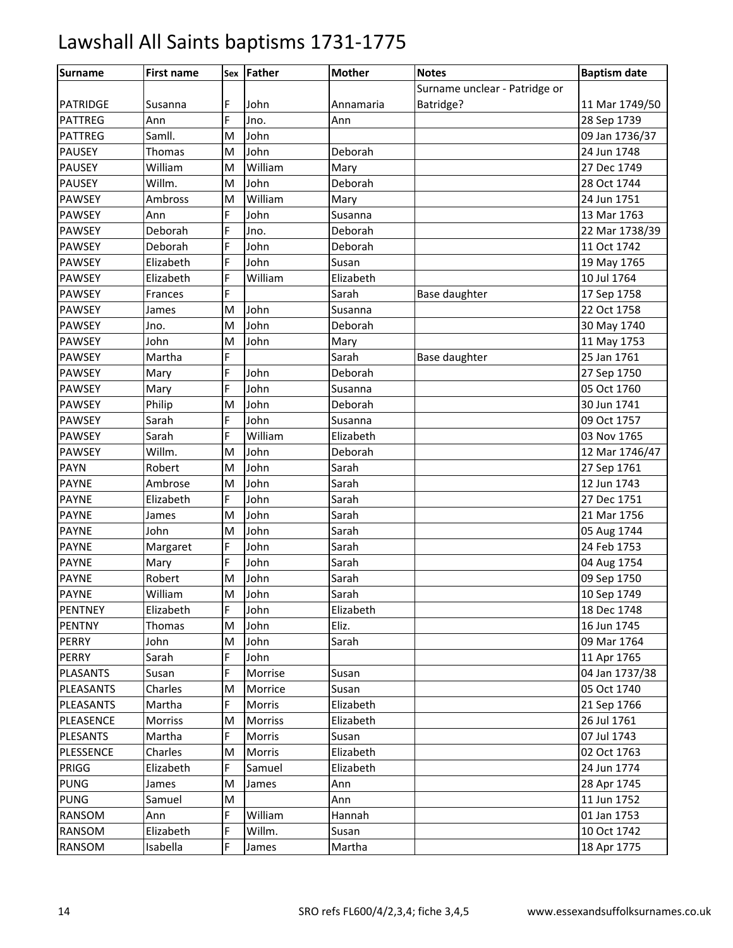| <b>Surname</b>  | <b>First name</b> |    | Sex Father | <b>Mother</b> | <b>Notes</b>                  | <b>Baptism date</b> |
|-----------------|-------------------|----|------------|---------------|-------------------------------|---------------------|
|                 |                   |    |            |               | Surname unclear - Patridge or |                     |
| <b>PATRIDGE</b> | Susanna           | F  | John       | Annamaria     | Batridge?                     | 11 Mar 1749/50      |
| <b>PATTREG</b>  | Ann               | F  | .<br>Jno.  | Ann           |                               | 28 Sep 1739         |
| <b>PATTREG</b>  | Samll.            | M  | John       |               |                               | 09 Jan 1736/37      |
| <b>PAUSEY</b>   | Thomas            | M  | John       | Deborah       |                               | 24 Jun 1748         |
| <b>PAUSEY</b>   | William           | M  | William    | Mary          |                               | 27 Dec 1749         |
| <b>PAUSEY</b>   | Willm.            | M  | John       | Deborah       |                               | 28 Oct 1744         |
| <b>PAWSEY</b>   | Ambross           | M  | William    | Mary          |                               | 24 Jun 1751         |
| <b>PAWSEY</b>   | Ann               | F  | John       | Susanna       |                               | 13 Mar 1763         |
| PAWSEY          | Deborah           | F  | Jno.       | Deborah       |                               | 22 Mar 1738/39      |
| <b>PAWSEY</b>   | Deborah           | F  | John       | Deborah       |                               | 11 Oct 1742         |
| <b>PAWSEY</b>   | Elizabeth         | F  | John       | Susan         |                               | 19 May 1765         |
| <b>PAWSEY</b>   | Elizabeth         | F  | William    | Elizabeth     |                               | 10 Jul 1764         |
| <b>PAWSEY</b>   | Frances           | F  |            | Sarah         | Base daughter                 | 17 Sep 1758         |
| <b>PAWSEY</b>   | James             | M  | John       | Susanna       |                               | 22 Oct 1758         |
| <b>PAWSEY</b>   | Jno.              | M  | John       | Deborah       |                               | 30 May 1740         |
| <b>PAWSEY</b>   | John              | M  | John       | Mary          |                               | 11 May 1753         |
| <b>PAWSEY</b>   | Martha            | F  |            | Sarah         | Base daughter                 | 25 Jan 1761         |
| <b>PAWSEY</b>   | Mary              | F  | John       | Deborah       |                               | 27 Sep 1750         |
| PAWSEY          | Mary              | F  | John       | Susanna       |                               | 05 Oct 1760         |
| <b>PAWSEY</b>   | Philip            | M  | John       | Deborah       |                               | 30 Jun 1741         |
| <b>PAWSEY</b>   | Sarah             | F  | John       | Susanna       |                               | 09 Oct 1757         |
| <b>PAWSEY</b>   | Sarah             | F  | William    | Elizabeth     |                               | 03 Nov 1765         |
| <b>PAWSEY</b>   | Willm.            | M  | John       | Deborah       |                               | 12 Mar 1746/47      |
| <b>PAYN</b>     | Robert            | M  | John       | Sarah         |                               | 27 Sep 1761         |
| <b>PAYNE</b>    | Ambrose           | M  | John       | Sarah         |                               | 12 Jun 1743         |
| <b>PAYNE</b>    | Elizabeth         | F  | John       | Sarah         |                               | 27 Dec 1751         |
| <b>PAYNE</b>    | James             | M  | John       | Sarah         |                               | 21 Mar 1756         |
| <b>PAYNE</b>    | John              | M  | John       | Sarah         |                               | 05 Aug 1744         |
| <b>PAYNE</b>    | Margaret          | F  | John       | Sarah         |                               | 24 Feb 1753         |
| <b>PAYNE</b>    | Mary              | F  | John       | Sarah         |                               | 04 Aug 1754         |
| <b>PAYNE</b>    | Robert            | M  | John       | Sarah         |                               | 09 Sep 1750         |
| <b>PAYNE</b>    | William           | M  | John       | Sarah         |                               | 10 Sep 1749         |
| <b>PENTNEY</b>  | Elizabeth         | F  | John       | Elizabeth     |                               | 18 Dec 1748         |
| <b>PENTNY</b>   | Thomas            | M  | John       | Eliz.         |                               | 16 Jun 1745         |
| <b>PERRY</b>    | John              | M  | John       | Sarah         |                               | 09 Mar 1764         |
| <b>PERRY</b>    | Sarah             | F  | John       |               |                               | 11 Apr 1765         |
| <b>PLASANTS</b> | Susan             | F  | Morrise    | Susan         |                               | 04 Jan 1737/38      |
| PLEASANTS       | Charles           | M  | Morrice    | Susan         |                               | 05 Oct 1740         |
| PLEASANTS       | Martha            | F  | Morris     | Elizabeth     |                               | 21 Sep 1766         |
| PLEASENCE       | Morriss           | M  | Morriss    | Elizabeth     |                               | 26 Jul 1761         |
| <b>PLESANTS</b> | Martha            | F  | Morris     | Susan         |                               | 07 Jul 1743         |
| PLESSENCE       | Charles           | M  | Morris     | Elizabeth     |                               | 02 Oct 1763         |
| PRIGG           | Elizabeth         | F. | Samuel     | Elizabeth     |                               | 24 Jun 1774         |
| <b>PUNG</b>     | James             | M  | James      | Ann           |                               | 28 Apr 1745         |
| <b>PUNG</b>     | Samuel            | M  |            | Ann           |                               | 11 Jun 1752         |
| RANSOM          | Ann               | F  | William    | Hannah        |                               | 01 Jan 1753         |
| RANSOM          | Elizabeth         | F  | Willm.     | Susan         |                               | 10 Oct 1742         |
| RANSOM          | Isabella          | F  | James      | Martha        |                               | 18 Apr 1775         |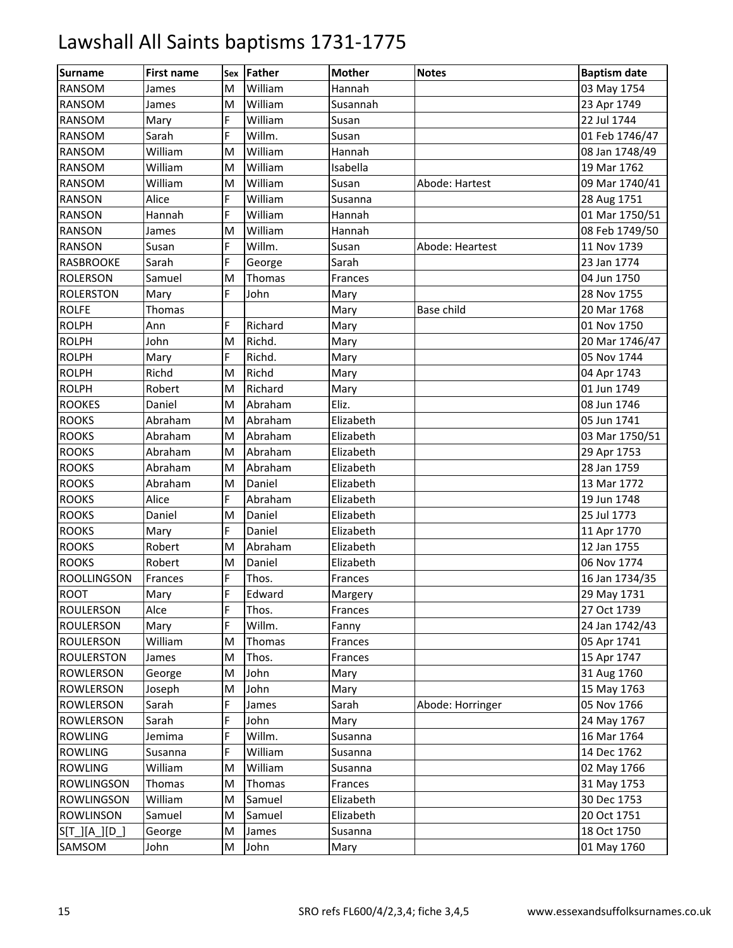| <b>Surname</b>     | <b>First name</b> | Sex | Father  | <b>Mother</b> | <b>Notes</b>      | <b>Baptism date</b> |
|--------------------|-------------------|-----|---------|---------------|-------------------|---------------------|
| <b>RANSOM</b>      | James             | M   | William | Hannah        |                   | 03 May 1754         |
| <b>RANSOM</b>      | James             | M   | William | Susannah      |                   | 23 Apr 1749         |
| <b>RANSOM</b>      | Mary              | F.  | William | Susan         |                   | 22 Jul 1744         |
| <b>RANSOM</b>      | Sarah             | F   | Willm.  | Susan         |                   | 01 Feb 1746/47      |
| <b>RANSOM</b>      | William           | M   | William | Hannah        |                   | 08 Jan 1748/49      |
| <b>RANSOM</b>      | William           | M   | William | Isabella      |                   | 19 Mar 1762         |
| <b>RANSOM</b>      | William           | M   | William | Susan         | Abode: Hartest    | 09 Mar 1740/41      |
| <b>RANSON</b>      | Alice             | F   | William | Susanna       |                   | 28 Aug 1751         |
| <b>RANSON</b>      | Hannah            | F   | William | Hannah        |                   | 01 Mar 1750/51      |
| <b>RANSON</b>      | James             | M   | William | Hannah        |                   | 08 Feb 1749/50      |
| <b>RANSON</b>      | Susan             | F   | Willm.  | Susan         | Abode: Heartest   | 11 Nov 1739         |
| <b>RASBROOKE</b>   | Sarah             | F   | George  | Sarah         |                   | 23 Jan 1774         |
| <b>ROLERSON</b>    | Samuel            | M   | Thomas  | Frances       |                   | 04 Jun 1750         |
| <b>ROLERSTON</b>   | Mary              | F   | John    | Mary          |                   | 28 Nov 1755         |
| <b>ROLFE</b>       | Thomas            |     |         | Mary          | <b>Base child</b> | 20 Mar 1768         |
| <b>ROLPH</b>       | Ann               | F   | Richard | Mary          |                   | 01 Nov 1750         |
| <b>ROLPH</b>       | John              | M   | Richd.  | Mary          |                   | 20 Mar 1746/47      |
| <b>ROLPH</b>       | Mary              | F   | Richd.  | Mary          |                   | 05 Nov 1744         |
| <b>ROLPH</b>       | Richd             | M   | Richd   | Mary          |                   | 04 Apr 1743         |
| <b>ROLPH</b>       | Robert            | M   | Richard | Mary          |                   | 01 Jun 1749         |
| <b>ROOKES</b>      | Daniel            | M   | Abraham | Eliz.         |                   | 08 Jun 1746         |
| <b>ROOKS</b>       | Abraham           | M   | Abraham | Elizabeth     |                   | 05 Jun 1741         |
| <b>ROOKS</b>       | Abraham           | M   | Abraham | Elizabeth     |                   | 03 Mar 1750/51      |
| <b>ROOKS</b>       | Abraham           | M   | Abraham | Elizabeth     |                   | 29 Apr 1753         |
| <b>ROOKS</b>       | Abraham           | M   | Abraham | Elizabeth     |                   | 28 Jan 1759         |
| <b>ROOKS</b>       | Abraham           | M   | Daniel  | Elizabeth     |                   | 13 Mar 1772         |
| <b>ROOKS</b>       | Alice             | F   | Abraham | Elizabeth     |                   | 19 Jun 1748         |
| <b>ROOKS</b>       | Daniel            | M   | Daniel  | Elizabeth     |                   | 25 Jul 1773         |
| <b>ROOKS</b>       | Mary              | F   | Daniel  | Elizabeth     |                   | 11 Apr 1770         |
| <b>ROOKS</b>       | Robert            | M   | Abraham | Elizabeth     |                   | 12 Jan 1755         |
| <b>ROOKS</b>       | Robert            | M   | Daniel  | Elizabeth     |                   | 06 Nov 1774         |
| <b>ROOLLINGSON</b> | Frances           | F   | Thos.   | Frances       |                   | 16 Jan 1734/35      |
| <b>ROOT</b>        | Mary              | F   | Edward  | Margery       |                   | 29 May 1731         |
| <b>ROULERSON</b>   | Alce              | F   | Thos.   | Frances       |                   | 27 Oct 1739         |
| <b>ROULERSON</b>   | Mary              | F.  | Willm.  | Fanny         |                   | 24 Jan 1742/43      |
| <b>ROULERSON</b>   | William           | M   | Thomas  | Frances       |                   | 05 Apr 1741         |
| <b>ROULERSTON</b>  | James             | M   | Thos.   | Frances       |                   | 15 Apr 1747         |
| <b>ROWLERSON</b>   | George            | Μ   | John    | Mary          |                   | 31 Aug 1760         |
| <b>ROWLERSON</b>   | Joseph            | M   | John    | Mary          |                   | 15 May 1763         |
| <b>ROWLERSON</b>   | Sarah             | F   | James   | Sarah         | Abode: Horringer  | 05 Nov 1766         |
| <b>ROWLERSON</b>   | Sarah             | F   | John    | Mary          |                   | 24 May 1767         |
| <b>ROWLING</b>     | Jemima            | F   | Willm.  | Susanna       |                   | 16 Mar 1764         |
| <b>ROWLING</b>     | Susanna           | F   | William | Susanna       |                   | 14 Dec 1762         |
| <b>ROWLING</b>     | William           | M   | William | Susanna       |                   | 02 May 1766         |
| <b>ROWLINGSON</b>  | Thomas            | M   | Thomas  | Frances       |                   | 31 May 1753         |
| <b>ROWLINGSON</b>  | William           | M   | Samuel  | Elizabeth     |                   | 30 Dec 1753         |
| <b>ROWLINSON</b>   | Samuel            | M   | Samuel  | Elizabeth     |                   | 20 Oct 1751         |
| $S[T_][A_][D_$     | George            | Μ   | James   | Susanna       |                   | 18 Oct 1750         |
| SAMSOM             | John              | M   | John    | Mary          |                   | 01 May 1760         |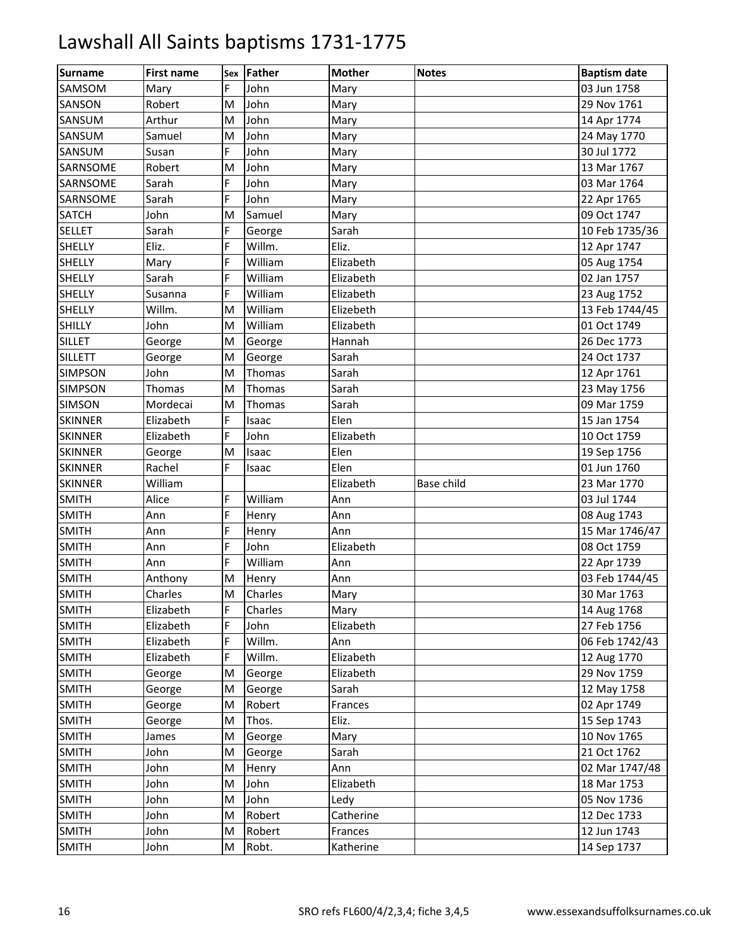| <b>Surname</b>  | <b>First name</b> |    | Sex Father | <b>Mother</b> | <b>Notes</b> | <b>Baptism date</b> |
|-----------------|-------------------|----|------------|---------------|--------------|---------------------|
| SAMSOM          | Mary              | F  | John       | Mary          |              | 03 Jun 1758         |
| SANSON          | Robert            | M  | John       | Mary          |              | 29 Nov 1761         |
| SANSUM          | Arthur            | M  | John       | Mary          |              | 14 Apr 1774         |
| SANSUM          | Samuel            | M  | John       | Mary          |              | 24 May 1770         |
| SANSUM          | Susan             | F  | John       | Mary          |              | 30 Jul 1772         |
| SARNSOME        | Robert            | M  | John       | Mary          |              | 13 Mar 1767         |
| SARNSOME        | Sarah             | F  | John       | Mary          |              | 03 Mar 1764         |
| <b>SARNSOME</b> | Sarah             | F  | John       | Mary          |              | 22 Apr 1765         |
| <b>SATCH</b>    | John              | M  | Samuel     | Mary          |              | 09 Oct 1747         |
| <b>SELLET</b>   | Sarah             | F. | George     | Sarah         |              | 10 Feb 1735/36      |
| <b>SHELLY</b>   | Eliz.             | F  | Willm.     | Eliz.         |              | 12 Apr 1747         |
| <b>SHELLY</b>   | Mary              | F  | William    | Elizabeth     |              | 05 Aug 1754         |
| <b>SHELLY</b>   | Sarah             | F  | William    | Elizabeth     |              | 02 Jan 1757         |
| <b>SHELLY</b>   | Susanna           | F  | William    | Elizabeth     |              | 23 Aug 1752         |
| <b>SHELLY</b>   | Willm.            | M  | William    | Elizebeth     |              | 13 Feb 1744/45      |
| <b>SHILLY</b>   | John              | M  | William    | Elizabeth     |              | 01 Oct 1749         |
| <b>SILLET</b>   | George            | M  | George     | Hannah        |              | 26 Dec 1773         |
| <b>SILLETT</b>  | George            | M  | George     | Sarah         |              | 24 Oct 1737         |
| <b>SIMPSON</b>  | John              | M  | Thomas     | Sarah         |              | 12 Apr 1761         |
| <b>SIMPSON</b>  | Thomas            | M  | Thomas     | Sarah         |              | 23 May 1756         |
| <b>SIMSON</b>   | Mordecai          | M  | Thomas     | Sarah         |              | 09 Mar 1759         |
| <b>SKINNER</b>  | Elizabeth         | F  | Isaac      | Elen          |              | 15 Jan 1754         |
| <b>SKINNER</b>  | Elizabeth         | F  | John       | Elizabeth     |              | 10 Oct 1759         |
| <b>SKINNER</b>  | George            | M  | Isaac      | Elen          |              | 19 Sep 1756         |
| <b>SKINNER</b>  | Rachel            | F  | Isaac      | Elen          |              | 01 Jun 1760         |
| <b>SKINNER</b>  | William           |    |            | Elizabeth     | Base child   | 23 Mar 1770         |
| SMITH           | Alice             | F  | William    | Ann           |              | 03 Jul 1744         |
| <b>SMITH</b>    | Ann               | F  | Henry      | Ann           |              | 08 Aug 1743         |
| <b>SMITH</b>    | Ann               | F  | Henry      | Ann           |              | 15 Mar 1746/47      |
| <b>SMITH</b>    | Ann               | F. | John       | Elizabeth     |              | 08 Oct 1759         |
| <b>SMITH</b>    | Ann               | F  | William    | Ann           |              | 22 Apr 1739         |
| <b>SMITH</b>    | Anthony           | M  | Henry      | Ann           |              | 03 Feb 1744/45      |
| <b>SMITH</b>    | Charles           | M  | Charles    | Mary          |              | 30 Mar 1763         |
| <b>SMITH</b>    | Elizabeth         | F  | Charles    | Mary          |              | 14 Aug 1768         |
| <b>SMITH</b>    | Elizabeth         | F. | John       | Elizabeth     |              | 27 Feb 1756         |
| <b>SMITH</b>    | Elizabeth         | F  | Willm.     | Ann           |              | 06 Feb 1742/43      |
| <b>SMITH</b>    | Elizabeth         | F  | Willm.     | Elizabeth     |              | 12 Aug 1770         |
| <b>SMITH</b>    | George            | M  | George     | Elizabeth     |              | 29 Nov 1759         |
| <b>SMITH</b>    | George            | M  | George     | Sarah         |              | 12 May 1758         |
| <b>SMITH</b>    | George            | M  | Robert     | Frances       |              | 02 Apr 1749         |
| <b>SMITH</b>    | George            | M  | Thos.      | Eliz.         |              | 15 Sep 1743         |
| <b>SMITH</b>    | James             | M  | George     | Mary          |              | 10 Nov 1765         |
| <b>SMITH</b>    | John              | M  | George     | Sarah         |              | 21 Oct 1762         |
| <b>SMITH</b>    | John              | M  | Henry      | Ann           |              | 02 Mar 1747/48      |
| <b>SMITH</b>    | John              | M  | John       | Elizabeth     |              | 18 Mar 1753         |
| <b>SMITH</b>    | John              | M  | John       | Ledy          |              | 05 Nov 1736         |
| <b>SMITH</b>    | John              | M  | Robert     | Catherine     |              | 12 Dec 1733         |
| <b>SMITH</b>    | John              | M  | Robert     | Frances       |              | 12 Jun 1743         |
| <b>SMITH</b>    | John              | M  | Robt.      | Katherine     |              | 14 Sep 1737         |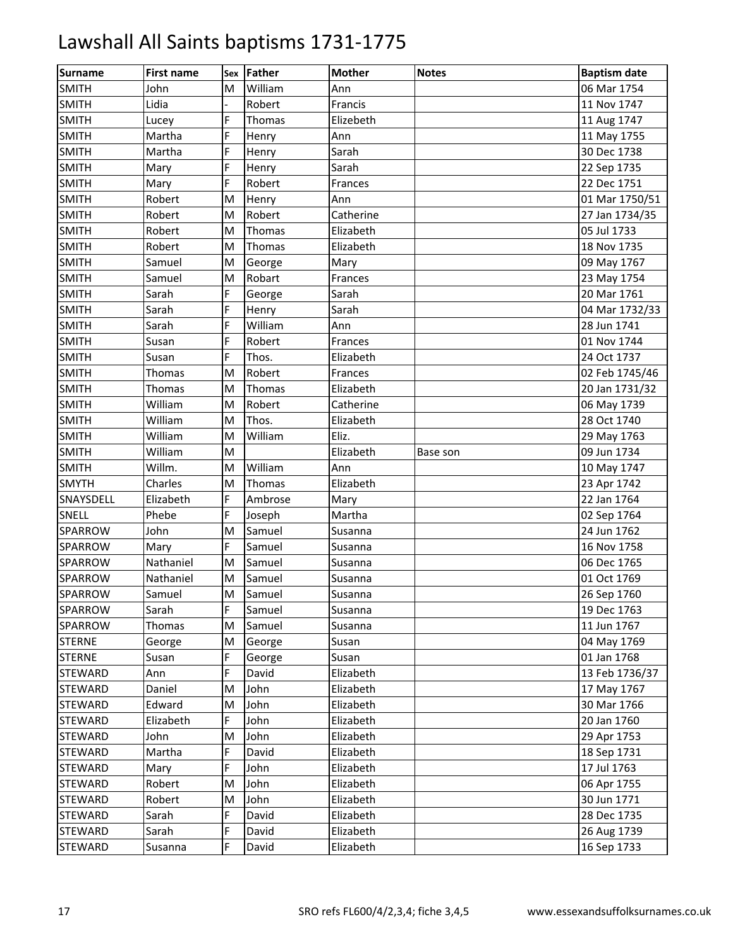| <b>Surname</b> | <b>First name</b> | Sex | Father  | <b>Mother</b>  | <b>Notes</b> | <b>Baptism date</b> |
|----------------|-------------------|-----|---------|----------------|--------------|---------------------|
| <b>SMITH</b>   | John              | M   | William | Ann            |              | 06 Mar 1754         |
| <b>SMITH</b>   | Lidia             |     | Robert  | Francis        |              | 11 Nov 1747         |
| <b>SMITH</b>   | Lucey             | F   | Thomas  | Elizebeth      |              | 11 Aug 1747         |
| <b>SMITH</b>   | Martha            | F.  | Henry   | Ann            |              | 11 May 1755         |
| <b>SMITH</b>   | Martha            | F   | Henry   | Sarah          |              | 30 Dec 1738         |
| <b>SMITH</b>   | Mary              | F   | Henry   | Sarah          |              | 22 Sep 1735         |
| <b>SMITH</b>   | Mary              | F   | Robert  | <b>Frances</b> |              | 22 Dec 1751         |
| <b>SMITH</b>   | Robert            | M   | Henry   | Ann            |              | 01 Mar 1750/51      |
| <b>SMITH</b>   | Robert            | M   | Robert  | Catherine      |              | 27 Jan 1734/35      |
| <b>SMITH</b>   | Robert            | M   | Thomas  | Elizabeth      |              | 05 Jul 1733         |
| <b>SMITH</b>   | Robert            | M   | Thomas  | Elizabeth      |              | 18 Nov 1735         |
| <b>SMITH</b>   | Samuel            | M   | George  | Mary           |              | 09 May 1767         |
| <b>SMITH</b>   | Samuel            | M   | Robart  | Frances        |              | 23 May 1754         |
| <b>SMITH</b>   | Sarah             | F   | George  | Sarah          |              | 20 Mar 1761         |
| <b>SMITH</b>   | Sarah             | F   | Henry   | Sarah          |              | 04 Mar 1732/33      |
| <b>SMITH</b>   | Sarah             | F   | William | Ann            |              | 28 Jun 1741         |
| <b>SMITH</b>   | Susan             | F   | Robert  | Frances        |              | 01 Nov 1744         |
| <b>SMITH</b>   | Susan             | F   | Thos.   | Elizabeth      |              | 24 Oct 1737         |
| <b>SMITH</b>   | Thomas            | M   | Robert  | Frances        |              | 02 Feb 1745/46      |
| <b>SMITH</b>   | Thomas            | M   | Thomas  | Elizabeth      |              | 20 Jan 1731/32      |
| <b>SMITH</b>   | William           | M   | Robert  | Catherine      |              | 06 May 1739         |
| <b>SMITH</b>   | William           | M   | Thos.   | Elizabeth      |              | 28 Oct 1740         |
| <b>SMITH</b>   | William           | M   | William | Eliz.          |              | 29 May 1763         |
| <b>SMITH</b>   | William           | M   |         | Elizabeth      | Base son     | 09 Jun 1734         |
| <b>SMITH</b>   | Willm.            | M   | William | Ann            |              | 10 May 1747         |
| <b>SMYTH</b>   | Charles           | M   | Thomas  | Elizabeth      |              | 23 Apr 1742         |
| SNAYSDELL      | Elizabeth         | F   | Ambrose | Mary           |              | 22 Jan 1764         |
| SNELL          | Phebe             | F   | Joseph  | Martha         |              | 02 Sep 1764         |
| SPARROW        | John              | M   | Samuel  | Susanna        |              | 24 Jun 1762         |
| SPARROW        | Mary              | F.  | Samuel  | Susanna        |              | 16 Nov 1758         |
| SPARROW        | Nathaniel         | M   | Samuel  | Susanna        |              | 06 Dec 1765         |
| SPARROW        | Nathaniel         | M   | Samuel  | Susanna        |              | 01 Oct 1769         |
| <b>SPARROW</b> | Samuel            | M   | Samuel  | Susanna        |              | 26 Sep 1760         |
| SPARROW        | Sarah             | F   | Samuel  | Susanna        |              | 19 Dec 1763         |
| SPARROW        | Thomas            | M   | Samuel  | Susanna        |              | 11 Jun 1767         |
| <b>STERNE</b>  | George            | M   | George  | Susan          |              | 04 May 1769         |
| <b>STERNE</b>  | Susan             | F   | George  | Susan          |              | 01 Jan 1768         |
| <b>STEWARD</b> | Ann               | F   | David   | Elizabeth      |              | 13 Feb 1736/37      |
| <b>STEWARD</b> | Daniel            | M   | John    | Elizabeth      |              | 17 May 1767         |
| <b>STEWARD</b> | Edward            | M   | John    | Elizabeth      |              | 30 Mar 1766         |
| <b>STEWARD</b> | Elizabeth         | F   | John    | Elizabeth      |              | 20 Jan 1760         |
| STEWARD        | John              | M   | John    | Elizabeth      |              | 29 Apr 1753         |
| <b>STEWARD</b> | Martha            | F   | David   | Elizabeth      |              | 18 Sep 1731         |
| <b>STEWARD</b> | Mary              | F.  | John    | Elizabeth      |              | 17 Jul 1763         |
| <b>STEWARD</b> | Robert            | M   | John    | Elizabeth      |              | 06 Apr 1755         |
| <b>STEWARD</b> | Robert            | M   | John    | Elizabeth      |              | 30 Jun 1771         |
| <b>STEWARD</b> | Sarah             | F   | David   | Elizabeth      |              | 28 Dec 1735         |
| <b>STEWARD</b> | Sarah             | F   | David   | Elizabeth      |              | 26 Aug 1739         |
| <b>STEWARD</b> | Susanna           | F   | David   | Elizabeth      |              | 16 Sep 1733         |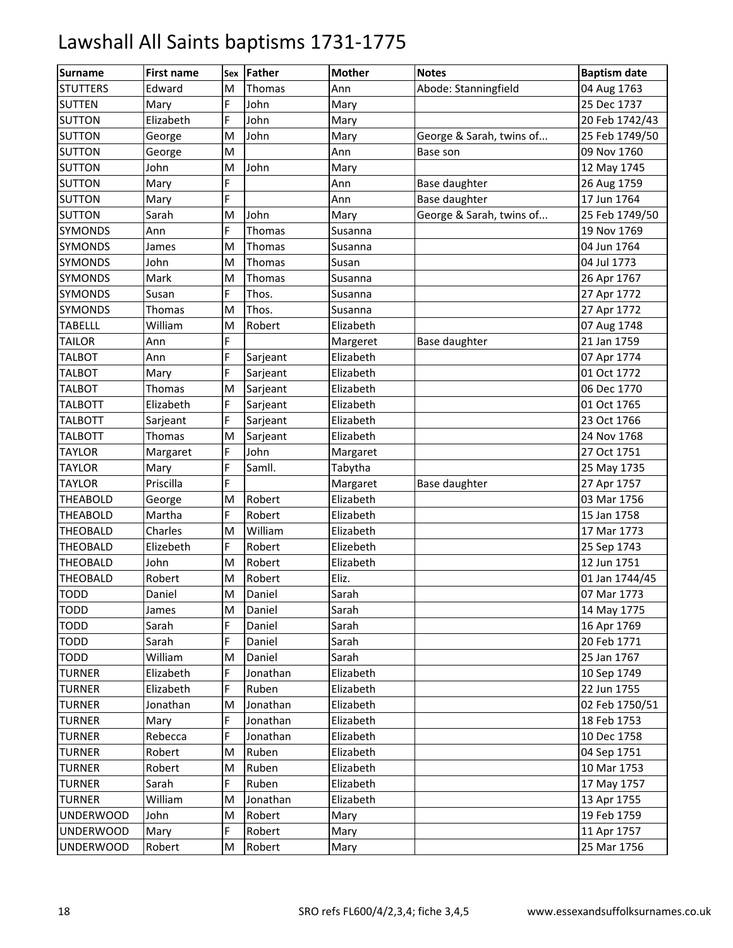| <b>Surname</b>   | <b>First name</b> | Sex | <b>Father</b> | <b>Mother</b> | <b>Notes</b>             | <b>Baptism date</b> |
|------------------|-------------------|-----|---------------|---------------|--------------------------|---------------------|
| <b>STUTTERS</b>  | Edward            | M   | Thomas        | Ann           | Abode: Stanningfield     | 04 Aug 1763         |
| <b>SUTTEN</b>    | Mary              | F   | John          | Mary          |                          | 25 Dec 1737         |
| <b>SUTTON</b>    | Elizabeth         | F   | John          | Mary          |                          | 20 Feb 1742/43      |
| <b>SUTTON</b>    | George            | M   | John          | Mary          | George & Sarah, twins of | 25 Feb 1749/50      |
| <b>SUTTON</b>    | George            | M   |               | Ann           | Base son                 | 09 Nov 1760         |
| <b>SUTTON</b>    | John              | M   | John          | Mary          |                          | 12 May 1745         |
| <b>SUTTON</b>    | Mary              | F   |               | Ann           | Base daughter            | 26 Aug 1759         |
| <b>SUTTON</b>    | Mary              | F   |               | Ann           | Base daughter            | 17 Jun 1764         |
| <b>SUTTON</b>    | Sarah             | M   | John          | Mary          | George & Sarah, twins of | 25 Feb 1749/50      |
| <b>SYMONDS</b>   | Ann               | F   | Thomas        | Susanna       |                          | 19 Nov 1769         |
| <b>SYMONDS</b>   | James             | M   | Thomas        | Susanna       |                          | 04 Jun 1764         |
| <b>SYMONDS</b>   | John              | M   | Thomas        | Susan         |                          | 04 Jul 1773         |
| SYMONDS          | Mark              | M   | Thomas        | Susanna       |                          | 26 Apr 1767         |
| <b>SYMONDS</b>   | Susan             | F.  | Thos.         | Susanna       |                          | 27 Apr 1772         |
| <b>SYMONDS</b>   | Thomas            | M   | Thos.         | Susanna       |                          | 27 Apr 1772         |
| <b>TABELLL</b>   | William           | M   | Robert        | Elizabeth     |                          | 07 Aug 1748         |
| <b>TAILOR</b>    | Ann               | F   |               | Margeret      | Base daughter            | 21 Jan 1759         |
| <b>TALBOT</b>    | Ann               | F   | Sarjeant      | Elizabeth     |                          | 07 Apr 1774         |
| <b>TALBOT</b>    | Mary              | F   | Sarjeant      | Elizabeth     |                          | 01 Oct 1772         |
| <b>TALBOT</b>    | Thomas            | M   | Sarjeant      | Elizabeth     |                          | 06 Dec 1770         |
| <b>TALBOTT</b>   | Elizabeth         | F   | Sarjeant      | Elizabeth     |                          | 01 Oct 1765         |
| <b>TALBOTT</b>   | Sarjeant          | F   | Sarjeant      | Elizabeth     |                          | 23 Oct 1766         |
| <b>TALBOTT</b>   | Thomas            | M   | Sarjeant      | Elizabeth     |                          | 24 Nov 1768         |
| <b>TAYLOR</b>    | Margaret          | F   | John          | Margaret      |                          | 27 Oct 1751         |
| <b>TAYLOR</b>    | Mary              | F   | Samll.        | Tabytha       |                          | 25 May 1735         |
| <b>TAYLOR</b>    | Priscilla         | F   |               | Margaret      | Base daughter            | 27 Apr 1757         |
| <b>THEABOLD</b>  | George            | M   | Robert        | Elizabeth     |                          | 03 Mar 1756         |
| <b>THEABOLD</b>  | Martha            | F   | Robert        | Elizabeth     |                          | 15 Jan 1758         |
| <b>THEOBALD</b>  | Charles           | M   | William       | Elizabeth     |                          | 17 Mar 1773         |
| <b>THEOBALD</b>  | Elizebeth         | F   | Robert        | Elizebeth     |                          | 25 Sep 1743         |
| <b>THEOBALD</b>  | John              | M   | Robert        | Elizabeth     |                          | 12 Jun 1751         |
| <b>THEOBALD</b>  | Robert            | M   | Robert        | Eliz.         |                          | 01 Jan 1744/45      |
| <b>TODD</b>      | Daniel            | M   | Daniel        | Sarah         |                          | 07 Mar 1773         |
| <b>TODD</b>      | James             | M   | Daniel        | Sarah         |                          | 14 May 1775         |
| <b>TODD</b>      | Sarah             | F.  | Daniel        | Sarah         |                          | 16 Apr 1769         |
| <b>TODD</b>      | Sarah             | F   | Daniel        | Sarah         |                          | 20 Feb 1771         |
| <b>TODD</b>      | William           | M   | Daniel        | Sarah         |                          | 25 Jan 1767         |
| <b>TURNER</b>    | Elizabeth         | F   | Jonathan      | Elizabeth     |                          | 10 Sep 1749         |
| <b>TURNER</b>    | Elizabeth         | F   | Ruben         | Elizabeth     |                          | 22 Jun 1755         |
| <b>TURNER</b>    | Jonathan          | M   | Jonathan      | Elizabeth     |                          | 02 Feb 1750/51      |
| <b>TURNER</b>    | Mary              | F   | Jonathan      | Elizabeth     |                          | 18 Feb 1753         |
| <b>TURNER</b>    | Rebecca           | F   | Jonathan      | Elizabeth     |                          | 10 Dec 1758         |
| <b>TURNER</b>    | Robert            | M   | Ruben         | Elizabeth     |                          | 04 Sep 1751         |
| <b>TURNER</b>    | Robert            | M   | Ruben         | Elizabeth     |                          | 10 Mar 1753         |
| <b>TURNER</b>    | Sarah             | F   | Ruben         | Elizabeth     |                          | 17 May 1757         |
| <b>TURNER</b>    | William           | M   | Jonathan      | Elizabeth     |                          | 13 Apr 1755         |
| <b>UNDERWOOD</b> | John              | M   | Robert        | Mary          |                          | 19 Feb 1759         |
| <b>UNDERWOOD</b> | Mary              | F   | Robert        | Mary          |                          | 11 Apr 1757         |
| <b>UNDERWOOD</b> | Robert            | M   | Robert        | Mary          |                          | 25 Mar 1756         |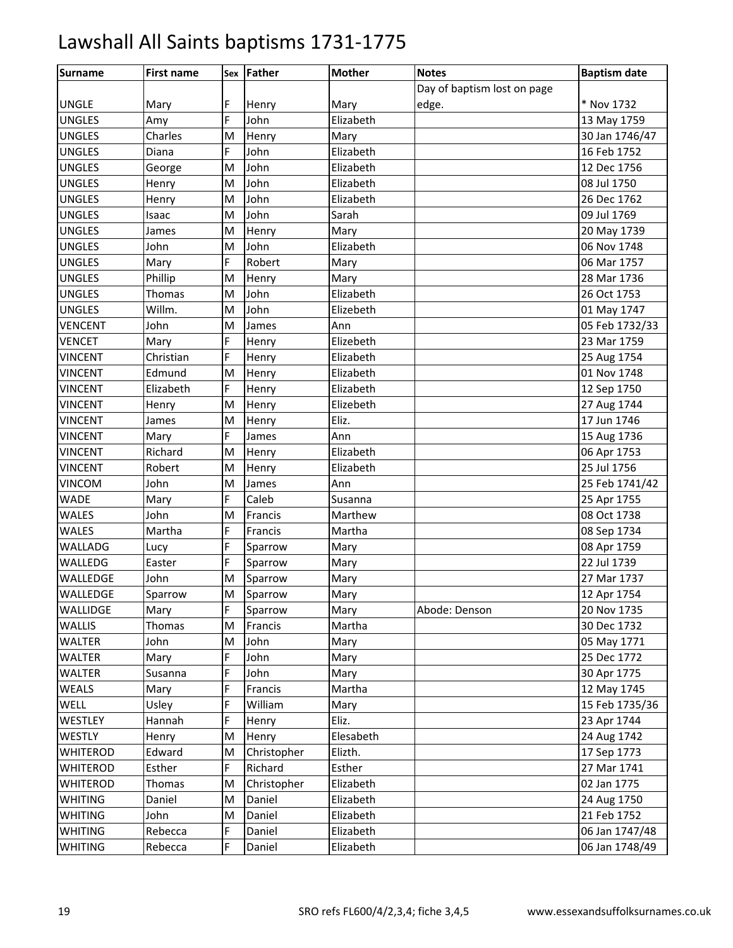| <b>Surname</b>  | <b>First name</b> |   | Sex Father  | <b>Mother</b> | <b>Notes</b>                | <b>Baptism date</b> |
|-----------------|-------------------|---|-------------|---------------|-----------------------------|---------------------|
|                 |                   |   |             |               | Day of baptism lost on page |                     |
| <b>UNGLE</b>    | Mary              | F | Henry       | Mary          | edge.                       | * Nov 1732          |
| <b>UNGLES</b>   | Amy               | F | John        | Elizabeth     |                             | 13 May 1759         |
| <b>UNGLES</b>   | Charles           | M | Henry       | Mary          |                             | 30 Jan 1746/47      |
| <b>UNGLES</b>   | Diana             | F | John        | Elizabeth     |                             | 16 Feb 1752         |
| <b>UNGLES</b>   | George            | M | John        | Elizabeth     |                             | 12 Dec 1756         |
| <b>UNGLES</b>   | Henry             | M | John        | Elizabeth     |                             | 08 Jul 1750         |
| <b>UNGLES</b>   | Henry             | M | John        | Elizabeth     |                             | 26 Dec 1762         |
| <b>UNGLES</b>   | Isaac             | M | John        | Sarah         |                             | 09 Jul 1769         |
| <b>UNGLES</b>   | James             | M | Henry       | Mary          |                             | 20 May 1739         |
| <b>UNGLES</b>   | John              | M | John        | Elizabeth     |                             | 06 Nov 1748         |
| <b>UNGLES</b>   | Mary              | F | Robert      | Mary          |                             | 06 Mar 1757         |
| <b>UNGLES</b>   | Phillip           | M | Henry       | Mary          |                             | 28 Mar 1736         |
| <b>UNGLES</b>   | Thomas            | M | John        | Elizabeth     |                             | 26 Oct 1753         |
| <b>UNGLES</b>   | Willm.            | M | John        | Elizebeth     |                             | 01 May 1747         |
| <b>VENCENT</b>  | John              | M | James       | Ann           |                             | 05 Feb 1732/33      |
| <b>VENCET</b>   | Mary              | F | Henry       | Elizebeth     |                             | 23 Mar 1759         |
| <b>VINCENT</b>  | Christian         | F | Henry       | Elizabeth     |                             | 25 Aug 1754         |
| <b>VINCENT</b>  | Edmund            | M | Henry       | Elizabeth     |                             | 01 Nov 1748         |
| <b>VINCENT</b>  | Elizabeth         | F | Henry       | Elizabeth     |                             | 12 Sep 1750         |
| <b>VINCENT</b>  | Henry             | M | Henry       | Elizebeth     |                             | 27 Aug 1744         |
| <b>VINCENT</b>  | James             | M | Henry       | Eliz.         |                             | 17 Jun 1746         |
| <b>VINCENT</b>  | Mary              | F | James       | Ann           |                             | 15 Aug 1736         |
| <b>VINCENT</b>  | Richard           | M | Henry       | Elizabeth     |                             | 06 Apr 1753         |
| <b>VINCENT</b>  | Robert            | M | Henry       | Elizabeth     |                             | 25 Jul 1756         |
| <b>VINCOM</b>   | John              | M | James       | Ann           |                             | 25 Feb 1741/42      |
| <b>WADE</b>     | Mary              | F | Caleb       | Susanna       |                             | 25 Apr 1755         |
| <b>WALES</b>    | John              | M | Francis     | Marthew       |                             | 08 Oct 1738         |
| <b>WALES</b>    | Martha            | F | Francis     | Martha        |                             | 08 Sep 1734         |
| WALLADG         | Lucy              | F | Sparrow     | Mary          |                             | 08 Apr 1759         |
| WALLEDG         | Easter            | F | Sparrow     | Mary          |                             | 22 Jul 1739         |
| WALLEDGE        | John              | M | Sparrow     | Mary          |                             | 27 Mar 1737         |
| WALLEDGE        | Sparrow           | M | Sparrow     | Mary          |                             | 12 Apr 1754         |
| WALLIDGE        | Mary              | F | Sparrow     | Mary          | Abode: Denson               | 20 Nov 1735         |
| <b>WALLIS</b>   | Thomas            | M | Francis     | Martha        |                             | 30 Dec 1732         |
| WALTER          | John              | M | John        | Mary          |                             | 05 May 1771         |
| WALTER          | Mary              | F | John        | Mary          |                             | 25 Dec 1772         |
| WALTER          | Susanna           | F | John        | Mary          |                             | 30 Apr 1775         |
| WEALS           | Mary              | F | Francis     | Martha        |                             | 12 May 1745         |
| <b>WELL</b>     | Usley             | F | William     | Mary          |                             | 15 Feb 1735/36      |
| WESTLEY         | Hannah            | F | Henry       | Eliz.         |                             | 23 Apr 1744         |
| WESTLY          | Henry             | M | Henry       | Elesabeth     |                             | 24 Aug 1742         |
| <b>WHITEROD</b> | Edward            | M | Christopher | Elizth.       |                             | 17 Sep 1773         |
| <b>WHITEROD</b> | Esther            | F | Richard     | Esther        |                             | 27 Mar 1741         |
| <b>WHITEROD</b> | Thomas            | M | Christopher | Elizabeth     |                             | 02 Jan 1775         |
| <b>WHITING</b>  | Daniel            | M | Daniel      | Elizabeth     |                             | 24 Aug 1750         |
| <b>WHITING</b>  | John              | M | Daniel      | Elizabeth     |                             | 21 Feb 1752         |
| <b>WHITING</b>  | Rebecca           | F | Daniel      | Elizabeth     |                             | 06 Jan 1747/48      |
| <b>WHITING</b>  | Rebecca           | F | Daniel      | Elizabeth     |                             | 06 Jan 1748/49      |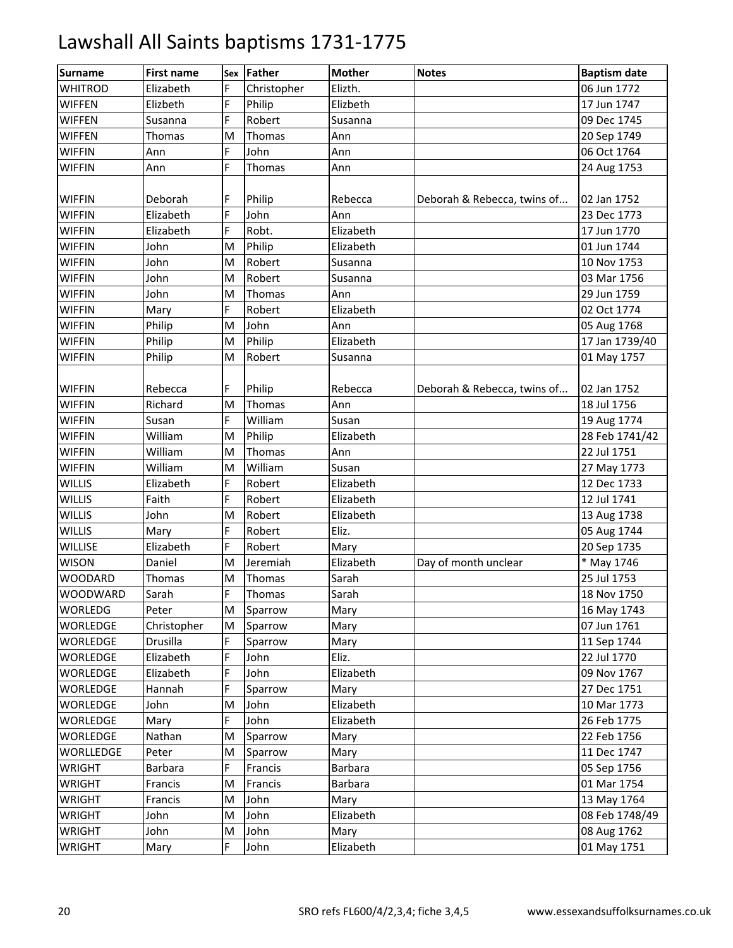| <b>Surname</b>   | <b>First name</b> | Sex | Father      | <b>Mother</b> | <b>Notes</b>                | <b>Baptism date</b> |
|------------------|-------------------|-----|-------------|---------------|-----------------------------|---------------------|
| <b>WHITROD</b>   | Elizabeth         | F.  | Christopher | Elizth.       |                             | 06 Jun 1772         |
| <b>WIFFEN</b>    | Elizbeth          | F   | Philip      | Elizbeth      |                             | 17 Jun 1747         |
| <b>WIFFEN</b>    | Susanna           | F   | Robert      | Susanna       |                             | 09 Dec 1745         |
| WIFFEN           | <b>Thomas</b>     | M   | Thomas      | Ann           |                             | 20 Sep 1749         |
| <b>WIFFIN</b>    | Ann               | F.  | John        | Ann           |                             | 06 Oct 1764         |
| <b>WIFFIN</b>    | Ann               | F.  | Thomas      | Ann           |                             | 24 Aug 1753         |
|                  |                   |     |             |               |                             |                     |
| <b>WIFFIN</b>    | Deborah           | F   | Philip      | Rebecca       | Deborah & Rebecca, twins of | 02 Jan 1752         |
| <b>WIFFIN</b>    | Elizabeth         | F   | John        | Ann           |                             | 23 Dec 1773         |
| <b>WIFFIN</b>    | Elizabeth         | F.  | Robt.       | Elizabeth     |                             | 17 Jun 1770         |
| <b>WIFFIN</b>    | John              | M   | Philip      | Elizabeth     |                             | 01 Jun 1744         |
| <b>WIFFIN</b>    | John              | M   | Robert      | Susanna       |                             | 10 Nov 1753         |
| <b>WIFFIN</b>    | John              | M   | Robert      | Susanna       |                             | 03 Mar 1756         |
| WIFFIN           | John              | M   | Thomas      | Ann           |                             | 29 Jun 1759         |
| <b>WIFFIN</b>    | Mary              | F.  | Robert      | Elizabeth     |                             | 02 Oct 1774         |
| <b>WIFFIN</b>    | Philip            | M   | John        | Ann           |                             | 05 Aug 1768         |
| <b>WIFFIN</b>    | Philip            | M   | Philip      | Elizabeth     |                             | 17 Jan 1739/40      |
| <b>WIFFIN</b>    | Philip            | M   | Robert      | Susanna       |                             | 01 May 1757         |
|                  |                   |     |             |               |                             |                     |
| WIFFIN           | Rebecca           | F   | Philip      | Rebecca       | Deborah & Rebecca, twins of | 02 Jan 1752         |
| <b>WIFFIN</b>    | Richard           | M   | Thomas      | Ann           |                             | 18 Jul 1756         |
| <b>WIFFIN</b>    | Susan             | F.  | William     | Susan         |                             | 19 Aug 1774         |
| <b>WIFFIN</b>    | William           | M   | Philip      | Elizabeth     |                             | 28 Feb 1741/42      |
| <b>WIFFIN</b>    | William           | M   | Thomas      | Ann           |                             | 22 Jul 1751         |
| <b>WIFFIN</b>    | William           | M   | William     | Susan         |                             | 27 May 1773         |
| <b>WILLIS</b>    | Elizabeth         | F   | Robert      | Elizabeth     |                             | 12 Dec 1733         |
| <b>WILLIS</b>    | Faith             | F   | Robert      | Elizabeth     |                             | 12 Jul 1741         |
| <b>WILLIS</b>    | John              | M   | Robert      | Elizabeth     |                             | 13 Aug 1738         |
| WILLIS           | Mary              | F   | Robert      | Eliz.         |                             | 05 Aug 1744         |
| WILLISE          | Elizabeth         | F.  | Robert      | Mary          |                             | 20 Sep 1735         |
| <b>WISON</b>     | Daniel            | M   | Jeremiah    | Elizabeth     | Day of month unclear        | * May 1746          |
| <b>WOODARD</b>   | Thomas            | M   | Thomas      | Sarah         |                             | 25 Jul 1753         |
| <b>WOODWARD</b>  | Sarah             | F   | Thomas      | Sarah         |                             | 18 Nov 1750         |
| WORLEDG          | Peter             | M   | Sparrow     | Mary          |                             | 16 May 1743         |
| <b>WORLEDGE</b>  | Christopher       | M   | Sparrow     | Mary          |                             | 07 Jun 1761         |
| WORLEDGE         | Drusilla          | F   | Sparrow     | Mary          |                             | 11 Sep 1744         |
| <b>WORLEDGE</b>  | Elizabeth         | F   | John        | Eliz.         |                             | 22 Jul 1770         |
| WORLEDGE         | Elizabeth         | F   | John        | Elizabeth     |                             | 09 Nov 1767         |
| WORLEDGE         | Hannah            | F.  | Sparrow     | Mary          |                             | 27 Dec 1751         |
| <b>WORLEDGE</b>  | John              | M   | John        | Elizabeth     |                             | 10 Mar 1773         |
| <b>WORLEDGE</b>  | Mary              | F   | John        | Elizabeth     |                             | 26 Feb 1775         |
| <b>WORLEDGE</b>  | Nathan            | M   | Sparrow     | Mary          |                             | 22 Feb 1756         |
| <b>WORLLEDGE</b> | Peter             | M   | Sparrow     | Mary          |                             | 11 Dec 1747         |
| <b>WRIGHT</b>    | Barbara           | F.  | Francis     | Barbara       |                             | 05 Sep 1756         |
| WRIGHT           | Francis           | M   | Francis     | Barbara       |                             | 01 Mar 1754         |
| <b>WRIGHT</b>    | Francis           | M   | John        | Mary          |                             | 13 May 1764         |
| <b>WRIGHT</b>    | John              | M   | John        | Elizabeth     |                             | 08 Feb 1748/49      |
| <b>WRIGHT</b>    | John              | Μ   | John        | Mary          |                             | 08 Aug 1762         |
| WRIGHT           | Mary              | F   | John        | Elizabeth     |                             | 01 May 1751         |